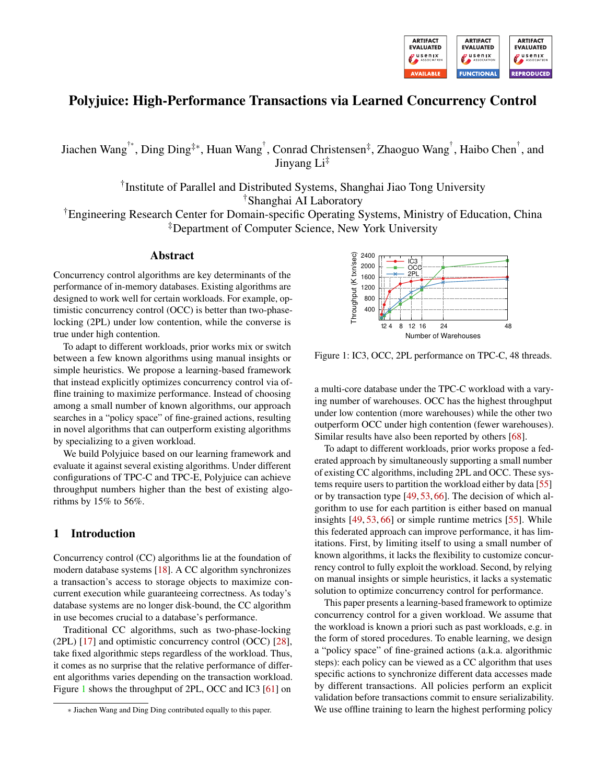

# Polyjuice: High-Performance Transactions via Learned Concurrency Control

Jiachen Wang†<sup>∗</sup> , Ding Ding‡<sup>∗</sup> , Huan Wang† , Conrad Christensen‡ , Zhaoguo Wang† , Haibo Chen† , and Jinyang  $Li^{\ddagger}$ 

> † Institute of Parallel and Distributed Systems, Shanghai Jiao Tong University †Shanghai AI Laboratory

†Engineering Research Center for Domain-specific Operating Systems, Ministry of Education, China ‡Department of Computer Science, New York University

## Abstract

Concurrency control algorithms are key determinants of the performance of in-memory databases. Existing algorithms are designed to work well for certain workloads. For example, optimistic concurrency control (OCC) is better than two-phaselocking (2PL) under low contention, while the converse is true under high contention.

To adapt to different workloads, prior works mix or switch between a few known algorithms using manual insights or simple heuristics. We propose a learning-based framework that instead explicitly optimizes concurrency control via offline training to maximize performance. Instead of choosing among a small number of known algorithms, our approach searches in a "policy space" of fine-grained actions, resulting in novel algorithms that can outperform existing algorithms by specializing to a given workload.

We build Polyjuic[e](#page-0-0) based on our learning framework and evaluate it against several existing algorithms. Under different configurations of TPC-C and TPC-E, Polyjuice can achieve throughput numbers higher than the best of existing algorithms by 15% to 56%.

### 1 Introduction

Concurrency control (CC) algorithms lie at the foundation of modern database systems [\[18\]](#page-14-0). A CC algorithm synchronizes a transaction's access to storage objects to maximize concurrent execution while guaranteeing correctness. As today's database systems are no longer disk-bound, the CC algorithm in use becomes crucial to a database's performance.

Traditional CC algorithms, such as two-phase-locking (2PL) [\[17\]](#page-14-1) and optimistic concurrency control (OCC) [\[28\]](#page-15-0), take fixed algorithmic steps regardless of the workload. Thus, it comes as no surprise that the relative performance of different algorithms varies depending on the transaction workload. Figure [1](#page-0-1) shows the throughput of 2PL, OCC and IC3 [\[61\]](#page-16-0) on

<span id="page-0-1"></span>

Figure 1: IC3, OCC, 2PL performance on TPC-C, 48 threads.

a multi-core database under the TPC-C workload with a varying number of warehouses. OCC has the highest throughput under low contention (more warehouses) while the other two outperform OCC under high contention (fewer warehouses). Similar results have also been reported by others [\[68\]](#page-16-1).

To adapt to different workloads, prior works propose a federated approach by simultaneously supporting a small number of existing CC algorithms, including 2PL and OCC. These systems require users to partition the workload either by data [\[55\]](#page-16-2) or by transaction type [\[49,](#page-15-1) [53,](#page-16-3) [66\]](#page-16-4). The decision of which algorithm to use for each partition is either based on manual insights [\[49,](#page-15-1) [53,](#page-16-3) [66\]](#page-16-4) or simple runtime metrics [\[55\]](#page-16-2). While this federated approach can improve performance, it has limitations. First, by limiting itself to using a small number of known algorithms, it lacks the flexibility to customize concurrency control to fully exploit the workload. Second, by relying on manual insights or simple heuristics, it lacks a systematic solution to optimize concurrency control for performance.

This paper presents a learning-based framework to optimize concurrency control for a given workload. We assume that the workload is known a priori such as past workloads, e.g. in the form of stored procedures. To enable learning, we design a "policy space" of fine-grained actions (a.k.a. algorithmic steps): each policy can be viewed as a CC algorithm that uses specific actions to synchronize different data accesses made by different transactions. All policies perform an explicit validation before transactions commit to ensure serializability. We use offline training to learn the highest performing policy

<span id="page-0-0"></span><sup>∗</sup> Jiachen Wang and Ding Ding contributed equally to this paper.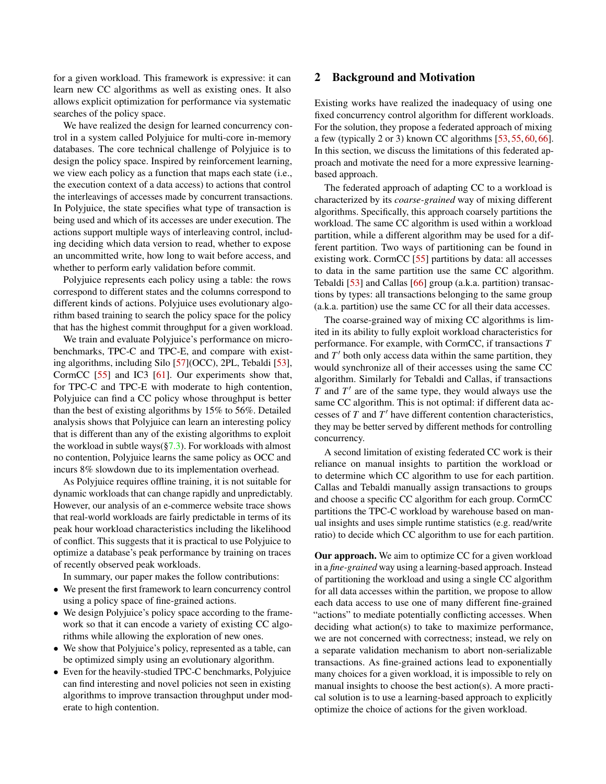for a given workload. This framework is expressive: it can learn new CC algorithms as well as existing ones. It also allows explicit optimization for performance via systematic searches of the policy space.

We have realized the design for learned concurrency control in a system called Polyjuice for multi-core in-memory databases. The core technical challenge of Polyjuice is to design the policy space. Inspired by reinforcement learning, we view each policy as a function that maps each state (i.e., the execution context of a data access) to actions that control the interleavings of accesses made by concurrent transactions. In Polyjuice, the state specifies what type of transaction is being used and which of its accesses are under execution. The actions support multiple ways of interleaving control, including deciding which data version to read, whether to expose an uncommitted write, how long to wait before access, and whether to perform early validation before commit.

Polyjuice represents each policy using a table: the rows correspond to different states and the columns correspond to different kinds of actions. Polyjuice uses evolutionary algorithm based training to search the policy space for the policy that has the highest commit throughput for a given workload.

We train and evaluate Polyjuice's performance on microbenchmarks, TPC-C and TPC-E, and compare with existing algorithms, including Silo [\[57\]](#page-16-5)(OCC), 2PL, Tebaldi [\[53\]](#page-16-3), CormCC [\[55\]](#page-16-2) and IC3 [\[61\]](#page-16-0). Our experiments show that, for TPC-C and TPC-E with moderate to high contention, Polyjuice can find a CC policy whose throughput is better than the best of existing algorithms by 15% to 56%. Detailed analysis shows that Polyjuice can learn an interesting policy that is different than any of the existing algorithms to exploit the workload in subtle ways $(\frac{57.3}{7})$ . For workloads with almost no contention, Polyjuice learns the same policy as OCC and incurs 8% slowdown due to its implementation overhead.

As Polyjuice requires offline training, it is not suitable for dynamic workloads that can change rapidly and unpredictably. However, our analysis of an e-commerce website trace shows that real-world workloads are fairly predictable in terms of its peak hour workload characteristics including the likelihood of conflict. This suggests that it is practical to use Polyjuice to optimize a database's peak performance by training on traces of recently observed peak workloads.

In summary, our paper makes the follow contributions:

- We present the first framework to learn concurrency control using a policy space of fine-grained actions.
- We design Polyjuice's policy space according to the framework so that it can encode a variety of existing CC algorithms while allowing the exploration of new ones.
- We show that Polyjuice's policy, represented as a table, can be optimized simply using an evolutionary algorithm.
- Even for the heavily-studied TPC-C benchmarks, Polyjuice can find interesting and novel policies not seen in existing algorithms to improve transaction throughput under moderate to high contention.

### 2 Background and Motivation

Existing works have realized the inadequacy of using one fixed concurrency control algorithm for different workloads. For the solution, they propose a federated approach of mixing a few (typically 2 or 3) known CC algorithms [\[53,](#page-16-3) [55,](#page-16-2) [60,](#page-16-6) [66\]](#page-16-4). In this section, we discuss the limitations of this federated approach and motivate the need for a more expressive learningbased approach.

The federated approach of adapting CC to a workload is characterized by its *coarse-grained* way of mixing different algorithms. Specifically, this approach coarsely partitions the workload. The same CC algorithm is used within a workload partition, while a different algorithm may be used for a different partition. Two ways of partitioning can be found in existing work. CormCC [\[55\]](#page-16-2) partitions by data: all accesses to data in the same partition use the same CC algorithm. Tebaldi [\[53\]](#page-16-3) and Callas [\[66\]](#page-16-4) group (a.k.a. partition) transactions by types: all transactions belonging to the same group (a.k.a. partition) use the same CC for all their data accesses.

The coarse-grained way of mixing CC algorithms is limited in its ability to fully exploit workload characteristics for performance. For example, with CormCC, if transactions *T* and  $T'$  both only access data within the same partition, they would synchronize all of their accesses using the same CC algorithm. Similarly for Tebaldi and Callas, if transactions  $T$  and  $T'$  are of the same type, they would always use the same CC algorithm. This is not optimal: if different data accesses of  $T$  and  $T'$  have different contention characteristics, they may be better served by different methods for controlling concurrency.

A second limitation of existing federated CC work is their reliance on manual insights to partition the workload or to determine which CC algorithm to use for each partition. Callas and Tebaldi manually assign transactions to groups and choose a specific CC algorithm for each group. CormCC partitions the TPC-C workload by warehouse based on manual insights and uses simple runtime statistics (e.g. read/write ratio) to decide which CC algorithm to use for each partition.

Our approach. We aim to optimize CC for a given workload in a *fine-grained* way using a learning-based approach. Instead of partitioning the workload and using a single CC algorithm for all data accesses within the partition, we propose to allow each data access to use one of many different fine-grained "actions" to mediate potentially conflicting accesses. When deciding what action(s) to take to maximize performance, we are not concerned with correctness; instead, we rely on a separate validation mechanism to abort non-serializable transactions. As fine-grained actions lead to exponentially many choices for a given workload, it is impossible to rely on manual insights to choose the best action(s). A more practical solution is to use a learning-based approach to explicitly optimize the choice of actions for the given workload.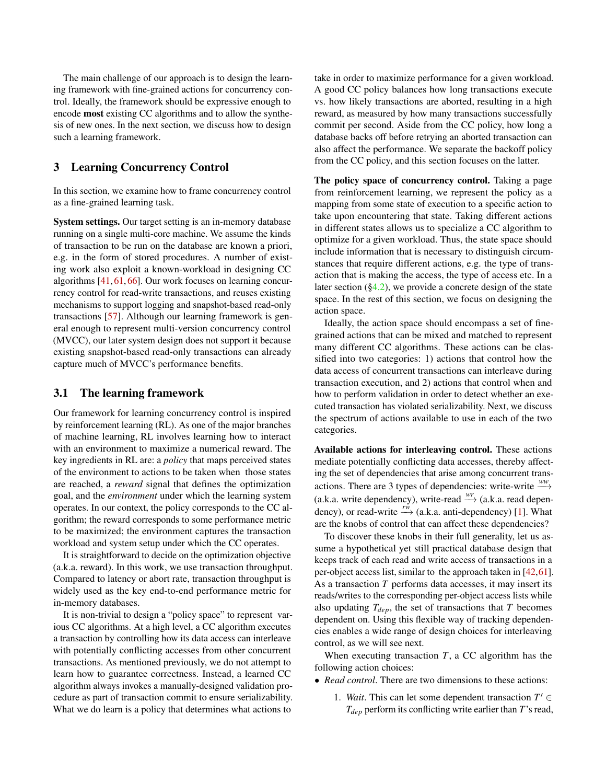The main challenge of our approach is to design the learning framework with fine-grained actions for concurrency control. Ideally, the framework should be expressive enough to encode most existing CC algorithms and to allow the synthesis of new ones. In the next section, we discuss how to design such a learning framework.

### <span id="page-2-0"></span>3 Learning Concurrency Control

In this section, we examine how to frame concurrency control as a fine-grained learning task.

System settings. Our target setting is an in-memory database running on a single multi-core machine. We assume the kinds of transaction to be run on the database are known a priori, e.g. in the form of stored procedures. A number of existing work also exploit a known-workload in designing CC algorithms [\[41,](#page-15-2) [61,](#page-16-0) [66\]](#page-16-4). Our work focuses on learning concurrency control for read-write transactions, and reuses existing mechanisms to support logging and snapshot-based read-only transactions [\[57\]](#page-16-5). Although our learning framework is general enough to represent multi-version concurrency control (MVCC), our later system design does not support it because existing snapshot-based read-only transactions can already capture much of MVCC's performance benefits.

### 3.1 The learning framework

Our framework for learning concurrency control is inspired by reinforcement learning (RL). As one of the major branches of machine learning, RL involves learning how to interact with an environment to maximize a numerical reward. The key ingredients in RL are: a *policy* that maps perceived states of the environment to actions to be taken when those states are reached, a *reward* signal that defines the optimization goal, and the *environment* under which the learning system operates. In our context, the policy corresponds to the CC algorithm; the reward corresponds to some performance metric to be maximized; the environment captures the transaction workload and system setup under which the CC operates.

It is straightforward to decide on the optimization objective (a.k.a. reward). In this work, we use transaction throughput. Compared to latency or abort rate, transaction throughput is widely used as the key end-to-end performance metric for in-memory databases.

It is non-trivial to design a "policy space" to represent various CC algorithms. At a high level, a CC algorithm executes a transaction by controlling how its data access can interleave with potentially conflicting accesses from other concurrent transactions. As mentioned previously, we do not attempt to learn how to guarantee correctness. Instead, a learned CC algorithm always invokes a manually-designed validation procedure as part of transaction commit to ensure serializability. What we do learn is a policy that determines what actions to

take in order to maximize performance for a given workload. A good CC policy balances how long transactions execute vs. how likely transactions are aborted, resulting in a high reward, as measured by how many transactions successfully commit per second. Aside from the CC policy, how long a database backs off before retrying an aborted transaction can also affect the performance. We separate the backoff policy from the CC policy, and this section focuses on the latter.

The policy space of concurrency control. Taking a page from reinforcement learning, we represent the policy as a mapping from some state of execution to a specific action to take upon encountering that state. Taking different actions in different states allows us to specialize a CC algorithm to optimize for a given workload. Thus, the state space should include information that is necessary to distinguish circumstances that require different actions, e.g. the type of transaction that is making the access, the type of access etc. In a later section  $(\S 4.2)$ , we provide a concrete design of the state space. In the rest of this section, we focus on designing the action space.

Ideally, the action space should encompass a set of finegrained actions that can be mixed and matched to represent many different CC algorithms. These actions can be classified into two categories: 1) actions that control how the data access of concurrent transactions can interleave during transaction execution, and 2) actions that control when and how to perform validation in order to detect whether an executed transaction has violated serializability. Next, we discuss the spectrum of actions available to use in each of the two categories.

Available actions for interleaving control. These actions mediate potentially conflicting data accesses, thereby affecting the set of dependencies that arise among concurrent transactions. There are 3 types of dependencies: write-write  $\overset{ww}{\longrightarrow}$ (a.k.a. write dependency), write-read  $\stackrel{wr}{\longrightarrow}$  (a.k.a. read dependency), or read-write <sup>*rw*</sup>→ (a.k.a. anti-dependency) [\[1\]](#page-13-0). What are the knobs of control that can affect these dependencies?

To discover these knobs in their full generality, let us assume a hypothetical yet still practical database design that keeps track of each read and write access of transactions in a per-object access list, similar to the approach taken in [\[42,](#page-15-3)[61\]](#page-16-0). As a transaction *T* performs data accesses, it may insert its reads/writes to the corresponding per-object access lists while also updating  $T_{dep}$ , the set of transactions that  $T$  becomes dependent on. Using this flexible way of tracking dependencies enables a wide range of design choices for interleaving control, as we will see next.

When executing transaction *T*, a CC algorithm has the following action choices:

- *Read control*. There are two dimensions to these actions:
	- 1. *Wait*. This can let some dependent transaction  $T' \in$ *Tdep* perform its conflicting write earlier than *T*'s read,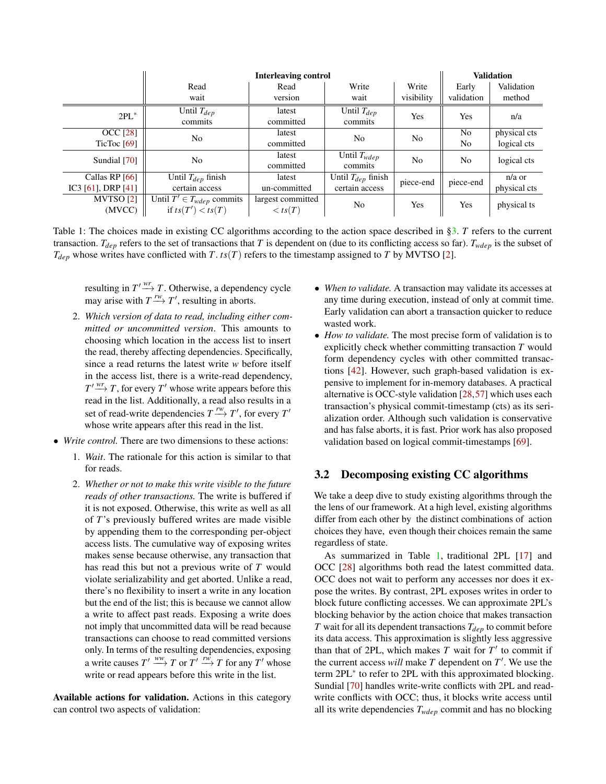<span id="page-3-0"></span>

|                    | <b>Interleaving control</b>     |                     |                             |                |                | <b>Validation</b> |  |
|--------------------|---------------------------------|---------------------|-----------------------------|----------------|----------------|-------------------|--|
|                    | Read                            | Write<br>Read       |                             | Write          | Early          | Validation        |  |
|                    | wait                            | version             | wait                        | visibility     | validation     | method            |  |
| $2PL^*$            | Until $T_{dep}$<br>commits      | latest<br>committed | Until $T_{dep}$<br>commits  | Yes            | Yes            | n/a               |  |
| <b>OCC</b> [28]    | N <sub>0</sub>                  | latest              | N <sub>0</sub>              | N <sub>o</sub> | N <sub>o</sub> | physical cts      |  |
| TicToc $[69]$      |                                 | committed           |                             |                | N <sub>o</sub> | logical cts       |  |
| Sundial [70]       | N <sub>o</sub>                  | latest<br>committed | Until $T_{wdep}$<br>commits | N <sub>o</sub> | N <sub>o</sub> | logical cts       |  |
| Callas RP [66]     | Until $T_{dep}$ finish          | latest              | Until $T_{dep}$ finish      | piece-end      | piece-end      | $n/a$ or          |  |
| IC3 [61], DRP [41] | certain access                  | un-committed        | certain access              |                |                | physical cts      |  |
| MVTSO[2]           | Until $T' \in T_{wdep}$ commits | largest committed   | No.                         | Yes            | Yes            | physical ts       |  |
| (MVCC)             | if $ts(T') < ts(T)$             | $\langle ts(T)$     |                             |                |                |                   |  |

Table 1: The choices made in existing CC algorithms according to the action space described in [§3.](#page-2-0) *T* refers to the current transaction.  $T_{dep}$  refers to the set of transactions that *T* is dependent on (due to its conflicting access so far).  $T_{wdep}$  is the subset of  $T_{dep}$  whose writes have conflicted with *T*.  $ts(T)$  refers to the timestamp assigned to *T* by MVTSO [\[2\]](#page-13-1).

resulting in  $T' \xrightarrow{wr} T$ . Otherwise, a dependency cycle may arise with  $T \xrightarrow{rw} T'$ , resulting in aborts.

- 2. *Which version of data to read, including either committed or uncommitted version*. This amounts to choosing which location in the access list to insert the read, thereby affecting dependencies. Specifically, since a read returns the latest write *w* before itself in the access list, there is a write-read dependency,  $T' \xrightarrow{wr} T$ , for every  $T'$  whose write appears before this read in the list. Additionally, a read also results in a set of read-write dependencies  $T \xrightarrow{rw} T'$ , for every  $T'$ whose write appears after this read in the list.
- *Write control.* There are two dimensions to these actions:
	- 1. *Wait*. The rationale for this action is similar to that for reads.
	- 2. *Whether or not to make this write visible to the future reads of other transactions.* The write is buffered if it is not exposed. Otherwise, this write as well as all of *T*'s previously buffered writes are made visible by appending them to the corresponding per-object access lists. The cumulative way of exposing writes makes sense because otherwise, any transaction that has read this but not a previous write of *T* would violate serializability and get aborted. Unlike a read, there's no flexibility to insert a write in any location but the end of the list; this is because we cannot allow a write to affect past reads. Exposing a write does not imply that uncommitted data will be read because transactions can choose to read committed versions only. In terms of the resulting dependencies, exposing a write causes  $T' \stackrel{ww}{\longrightarrow} T$  or  $T' \stackrel{rw}{\longrightarrow} T$  for any  $T'$  whose write or read appears before this write in the list.

Available actions for validation. Actions in this category can control two aspects of validation:

- *When to validate.* A transaction may validate its accesses at any time during execution, instead of only at commit time. Early validation can abort a transaction quicker to reduce wasted work.
- *How to validate.* The most precise form of validation is to explicitly check whether committing transaction *T* would form dependency cycles with other committed transactions [\[42\]](#page-15-3). However, such graph-based validation is expensive to implement for in-memory databases. A practical alternative is OCC-style validation [\[28,](#page-15-0)[57\]](#page-16-5) which uses each transaction's physical commit-timestamp (cts) as its serialization order. Although such validation is conservative and has false aborts, it is fast. Prior work has also proposed validation based on logical commit-timestamps [\[69\]](#page-16-7).

### 3.2 Decomposing existing CC algorithms

We take a deep dive to study existing algorithms through the the lens of our framework. At a high level, existing algorithms differ from each other by the distinct combinations of action choices they have, even though their choices remain the same regardless of state.

As summarized in Table [1,](#page-3-0) traditional 2PL [\[17\]](#page-14-1) and OCC [\[28\]](#page-15-0) algorithms both read the latest committed data. OCC does not wait to perform any accesses nor does it expose the writes. By contrast, 2PL exposes writes in order to block future conflicting accesses. We can approximate 2PL's blocking behavior by the action choice that makes transaction *T* wait for all its dependent transactions *Tdep* to commit before its data access. This approximation is slightly less aggressive than that of 2PL, which makes  $T$  wait for  $T'$  to commit if the current access *will* make  $T$  dependent on  $T'$ . We use the term 2PL<sup>∗</sup> to refer to 2PL with this approximated blocking. Sundial [\[70\]](#page-16-8) handles write-write conflicts with 2PL and readwrite conflicts with OCC; thus, it blocks write access until all its write dependencies *Twdep* commit and has no blocking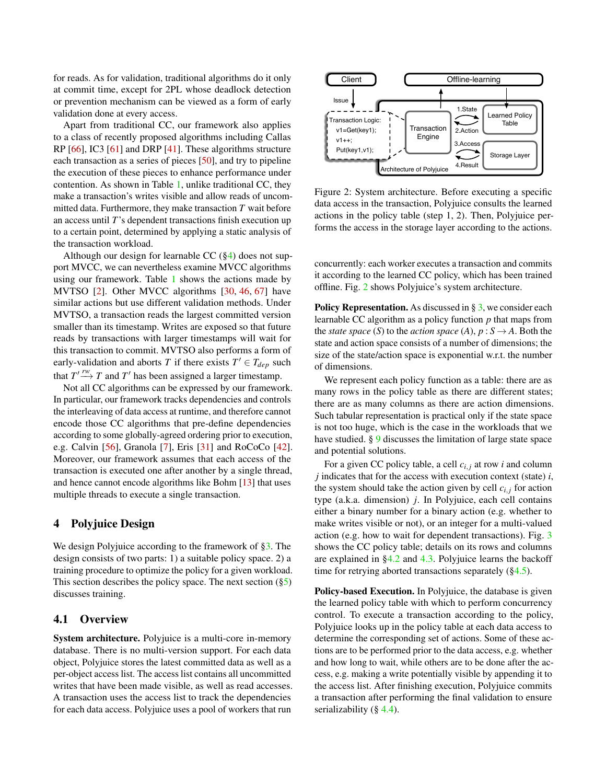for reads. As for validation, traditional algorithms do it only at commit time, except for 2PL whose deadlock detection or prevention mechanism can be viewed as a form of early validation done at every access.

Apart from traditional CC, our framework also applies to a class of recently proposed algorithms including Callas RP [\[66\]](#page-16-4), IC3 [\[61\]](#page-16-0) and DRP [\[41\]](#page-15-2). These algorithms structure each transaction as a series of pieces [\[50\]](#page-16-9), and try to pipeline the execution of these pieces to enhance performance under contention. As shown in Table [1,](#page-3-0) unlike traditional CC, they make a transaction's writes visible and allow reads of uncommitted data. Furthermore, they make transaction *T* wait before an access until *T*'s dependent transactions finish execution up to a certain point, determined by applying a static analysis of the transaction workload.

Although our design for learnable CC  $(\S4)$  does not support MVCC, we can nevertheless examine MVCC algorithms using our framework. Table [1](#page-3-0) shows the actions made by MVTSO [\[2\]](#page-13-1). Other MVCC algorithms [\[30,](#page-15-4) [46,](#page-15-5) [67\]](#page-16-10) have similar actions but use different validation methods. Under MVTSO, a transaction reads the largest committed version smaller than its timestamp. Writes are exposed so that future reads by transactions with larger timestamps will wait for this transaction to commit. MVTSO also performs a form of early-validation and aborts *T* if there exists  $T' \in T_{dep}$  such that  $T' \xrightarrow{rw} T$  and  $T'$  has been assigned a larger timestamp.

Not all CC algorithms can be expressed by our framework. In particular, our framework tracks dependencies and controls the interleaving of data access at runtime, and therefore cannot encode those CC algorithms that pre-define dependencies according to some globally-agreed ordering prior to execution, e.g. Calvin [\[56\]](#page-16-11), Granola [\[7\]](#page-14-2), Eris [\[31\]](#page-15-6) and RoCoCo [\[42\]](#page-15-3). Moreover, our framework assumes that each access of the transaction is executed one after another by a single thread, and hence cannot encode algorithms like Bohm [\[13\]](#page-14-3) that uses multiple threads to execute a single transaction.

## <span id="page-4-0"></span>4 Polyjuice Design

We design Polyjuice according to the framework of [§3.](#page-2-0) The design consists of two parts: 1) a suitable policy space. 2) a training procedure to optimize the policy for a given workload. This section describes the policy space. The next section  $(\S5)$ discusses training.

### 4.1 Overview

System architecture. Polyjuice is a multi-core in-memory database. There is no multi-version support. For each data object, Polyjuice stores the latest committed data as well as a per-object access list. The access list contains all uncommitted writes that have been made visible, as well as read accesses. A transaction uses the access list to track the dependencies for each data access. Polyjuice uses a pool of workers that run

<span id="page-4-1"></span>

Figure 2: System architecture. Before executing a specific data access in the transaction, Polyjuice consults the learned actions in the policy table (step 1, 2). Then, Polyjuice performs the access in the storage layer according to the actions.

concurrently: each worker executes a transaction and commits it according to the learned CC policy, which has been trained offline. Fig. [2](#page-4-1) shows Polyjuice's system architecture.

**Policy Representation.** As discussed in  $\S$  [3,](#page-2-0) we consider each learnable CC algorithm as a policy function *p* that maps from the *state space* (*S*) to the *action space* (*A*),  $p : S \rightarrow A$ . Both the state and action space consists of a number of dimensions; the size of the state/action space is exponential w.r.t. the number of dimensions.

We represent each policy function as a table: there are as many rows in the policy table as there are different states; there are as many columns as there are action dimensions. Such tabular representation is practical only if the state space is not too huge, which is the case in the workloads that we have studied. § [9](#page-13-2) discusses the limitation of large state space and potential solutions.

For a given CC policy table, a cell *ci*, *<sup>j</sup>* at row *i* and column *j* indicates that for the access with execution context (state) *i*, the system should take the action given by cell  $c_{i,j}$  for action type (a.k.a. dimension) *j*. In Polyjuice, each cell contains either a binary number for a binary action (e.g. whether to make writes visible or not), or an integer for a multi-valued action (e.g. how to wait for dependent transactions). Fig. [3](#page-5-1) shows the CC policy table; details on its rows and columns are explained in [§4.2](#page-5-0) and [4.3.](#page-5-2) Polyjuice learns the backoff time for retrying aborted transactions separately ([§4.5\)](#page-6-1).

Policy-based Execution. In Polyjuice, the database is given the learned policy table with which to perform concurrency control. To execute a transaction according to the policy, Polyjuice looks up in the policy table at each data access to determine the corresponding set of actions. Some of these actions are to be performed prior to the data access, e.g. whether and how long to wait, while others are to be done after the access, e.g. making a write potentially visible by appending it to the access list. After finishing execution, Polyjuice commits a transaction after performing the final validation to ensure serializability  $(\S$  [4.4\)](#page-6-2).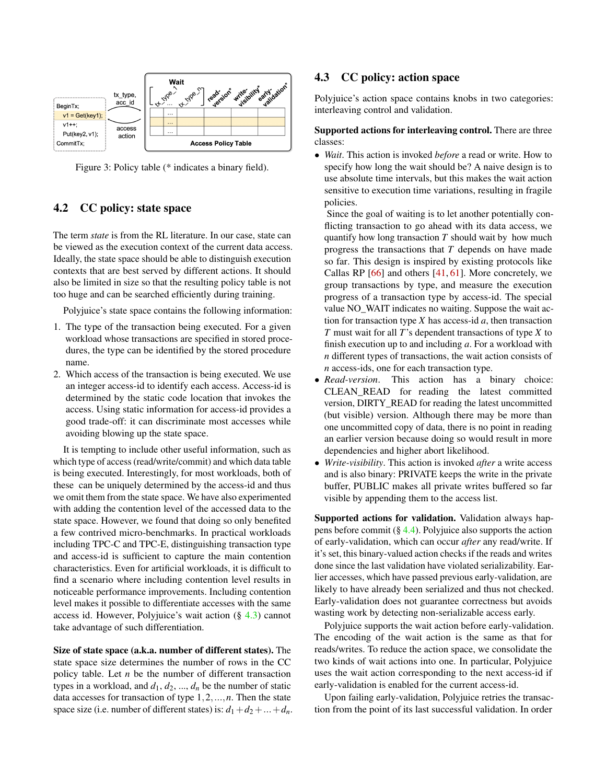<span id="page-5-1"></span>

Figure 3: Policy table (\* indicates a binary field).

## <span id="page-5-0"></span>4.2 CC policy: state space

The term *state* is from the RL literature. In our case, state can be viewed as the execution context of the current data access. Ideally, the state space should be able to distinguish execution contexts that are best served by different actions. It should also be limited in size so that the resulting policy table is not too huge and can be searched efficiently during training.

Polyjuice's state space contains the following information:

- 1. The type of the transaction being executed. For a given workload whose transactions are specified in stored procedures, the type can be identified by the stored procedure name.
- 2. Which access of the transaction is being executed. We use an integer access-id to identify each access. Access-id is determined by the static code location that invokes the access. Using static information for access-id provides a good trade-off: it can discriminate most accesses while avoiding blowing up the state space.

It is tempting to include other useful information, such as which type of access (read/write/commit) and which data table is being executed. Interestingly, for most workloads, both of these can be uniquely determined by the access-id and thus we omit them from the state space. We have also experimented with adding the contention level of the accessed data to the state space. However, we found that doing so only benefited a few contrived micro-benchmarks. In practical workloads including TPC-C and TPC-E, distinguishing transaction type and access-id is sufficient to capture the main contention characteristics. Even for artificial workloads, it is difficult to find a scenario where including contention level results in noticeable performance improvements. Including contention level makes it possible to differentiate accesses with the same access id. However, Polyjuice's wait action (§ [4.3\)](#page-5-2) cannot take advantage of such differentiation.

Size of state space (a.k.a. number of different states). The state space size determines the number of rows in the CC policy table. Let *n* be the number of different transaction types in a workload, and  $d_1, d_2, ..., d_n$  be the number of static data accesses for transaction of type 1,2,...,*n*. Then the state space size (i.e. number of different states) is:  $d_1 + d_2 + ... + d_n$ .

## <span id="page-5-2"></span>4.3 CC policy: action space

Polyjuice's action space contains knobs in two categories: interleaving control and validation.

### Supported actions for interleaving control. There are three classes:

• *Wait*. This action is invoked *before* a read or write. How to specify how long the wait should be? A naive design is to use absolute time intervals, but this makes the wait action sensitive to execution time variations, resulting in fragile policies.

Since the goal of waiting is to let another potentially conflicting transaction to go ahead with its data access, we quantify how long transaction *T* should wait by how much progress the transactions that *T* depends on have made so far. This design is inspired by existing protocols like Callas RP  $[66]$  and others  $[41, 61]$  $[41, 61]$  $[41, 61]$ . More concretely, we group transactions by type, and measure the execution progress of a transaction type by access-id. The special value NO\_WAIT indicates no waiting. Suppose the wait action for transaction type  $X$  has access-id  $a$ , then transaction *T* must wait for all *T*'s dependent transactions of type *X* to finish execution up to and including *a*. For a workload with *n* different types of transactions, the wait action consists of *n* access-ids, one for each transaction type.

- *Read-version*. This action has a binary choice: CLEAN\_READ for reading the latest committed version, DIRTY\_READ for reading the latest uncommitted (but visible) version. Although there may be more than one uncommitted copy of data, there is no point in reading an earlier version because doing so would result in more dependencies and higher abort likelihood.
- *Write-visibility*. This action is invoked *after* a write access and is also binary: PRIVATE keeps the write in the private buffer, PUBLIC makes all private writes buffered so far visible by appending them to the access list.

Supported actions for validation. Validation always happens before commit  $(\S 4.4)$  $(\S 4.4)$ . Polyjuice also supports the action of early-validation, which can occur *after* any read/write. If it's set, this binary-valued action checks if the reads and writes done since the last validation have violated serializability. Earlier accesses, which have passed previous early-validation, are likely to have already been serialized and thus not checked. Early-validation does not guarantee correctness but avoids wasting work by detecting non-serializable access early.

Polyjuice supports the wait action before early-validation. The encoding of the wait action is the same as that for reads/writes. To reduce the action space, we consolidate the two kinds of wait actions into one. In particular, Polyjuice uses the wait action corresponding to the next access-id if early-validation is enabled for the current access-id.

Upon failing early-validation, Polyjuice retries the transaction from the point of its last successful validation. In order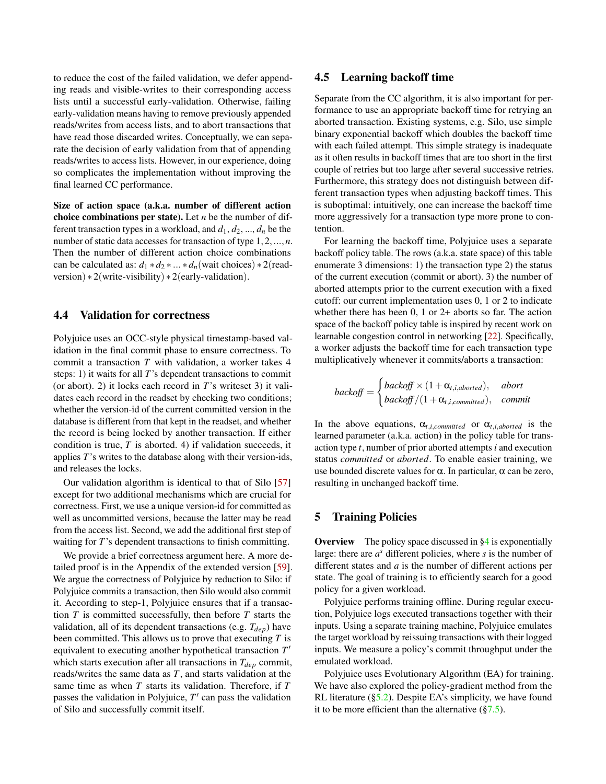to reduce the cost of the failed validation, we defer appending reads and visible-writes to their corresponding access lists until a successful early-validation. Otherwise, failing early-validation means having to remove previously appended reads/writes from access lists, and to abort transactions that have read those discarded writes. Conceptually, we can separate the decision of early validation from that of appending reads/writes to access lists. However, in our experience, doing so complicates the implementation without improving the final learned CC performance.

Size of action space (a.k.a. number of different action choice combinations per state). Let *n* be the number of different transaction types in a workload, and  $d_1, d_2, ..., d_n$  be the number of static data accesses for transaction of type 1,2,...,*n*. Then the number of different action choice combinations can be calculated as:  $d_1 * d_2 * ... * d_n$  (wait choices)  $*2$  (readversion)  $* 2$ (write-visibility)  $* 2$ (early-validation).

### <span id="page-6-2"></span>4.4 Validation for correctness

Polyjuice uses an OCC-style physical timestamp-based validation in the final commit phase to ensure correctness. To commit a transaction *T* with validation, a worker takes 4 steps: 1) it waits for all *T*'s dependent transactions to commit (or abort). 2) it locks each record in *T*'s writeset 3) it validates each record in the readset by checking two conditions; whether the version-id of the current committed version in the database is different from that kept in the readset, and whether the record is being locked by another transaction. If either condition is true, *T* is aborted. 4) if validation succeeds, it applies *T*'s writes to the database along with their version-ids, and releases the locks.

Our validation algorithm is identical to that of Silo [\[57\]](#page-16-5) except for two additional mechanisms which are crucial for correctness. First, we use a unique version-id for committed as well as uncommitted versions, because the latter may be read from the access list. Second, we add the additional first step of waiting for *T*'s dependent transactions to finish committing.

We provide a brief correctness argument here. A more detailed proof is in the Appendix of the extended version [\[59\]](#page-16-12). We argue the correctness of Polyjuice by reduction to Silo: if Polyjuice commits a transaction, then Silo would also commit it. According to step-1, Polyjuice ensures that if a transaction *T* is committed successfully, then before *T* starts the validation, all of its dependent transactions (e.g. *Tdep*) have been committed. This allows us to prove that executing *T* is equivalent to executing another hypothetical transaction  $T'$ which starts execution after all transactions in *Tdep* commit, reads/writes the same data as *T*, and starts validation at the same time as when *T* starts its validation. Therefore, if *T* passes the validation in Polyjuice,  $T'$  can pass the validation of Silo and successfully commit itself.

## <span id="page-6-1"></span>4.5 Learning backoff time

Separate from the CC algorithm, it is also important for performance to use an appropriate backoff time for retrying an aborted transaction. Existing systems, e.g. Silo, use simple binary exponential backoff which doubles the backoff time with each failed attempt. This simple strategy is inadequate as it often results in backoff times that are too short in the first couple of retries but too large after several successive retries. Furthermore, this strategy does not distinguish between different transaction types when adjusting backoff times. This is suboptimal: intuitively, one can increase the backoff time more aggressively for a transaction type more prone to contention.

For learning the backoff time, Polyjuice uses a separate backoff policy table. The rows (a.k.a. state space) of this table enumerate 3 dimensions: 1) the transaction type 2) the status of the current execution (commit or abort). 3) the number of aborted attempts prior to the current execution with a fixed cutoff: our current implementation uses 0, 1 or 2 to indicate whether there has been 0, 1 or 2+ aborts so far. The action space of the backoff policy table is inspired by recent work on learnable congestion control in networking [\[22\]](#page-14-4). Specifically, a worker adjusts the backoff time for each transaction type multiplicatively whenever it commits/aborts a transaction:

$$
backoff = \begin{cases} backoff \times (1 + \alpha_{t,i,aborted}), & abort \\ backoff / (1 + \alpha_{t,i,commited}), & commit \end{cases}
$$

In the above equations,  $\alpha_{t,i,committed}$  or  $\alpha_{t,i,aborted}$  is the learned parameter (a.k.a. action) in the policy table for transaction type *t*, number of prior aborted attempts *i* and execution status *committed* or *aborted*. To enable easier training, we use bounded discrete values for  $\alpha$ . In particular,  $\alpha$  can be zero, resulting in unchanged backoff time.

### <span id="page-6-0"></span>5 Training Policies

**Overview** The policy space discussed in  $\S4$  is exponentially large: there are  $a^s$  different policies, where  $s$  is the number of different states and *a* is the number of different actions per state. The goal of training is to efficiently search for a good policy for a given workload.

Polyjuice performs training offline. During regular execution, Polyjuice logs executed transactions together with their inputs. Using a separate training machine, Polyjuice emulates the target workload by reissuing transactions with their logged inputs. We measure a policy's commit throughput under the emulated workload.

Polyjuice uses Evolutionary Algorithm (EA) for training. We have also explored the policy-gradient method from the RL literature  $(\S 5.2)$ . Despite EA's simplicity, we have found it to be more efficient than the alternative  $(\frac{87.5}{61.5})$ .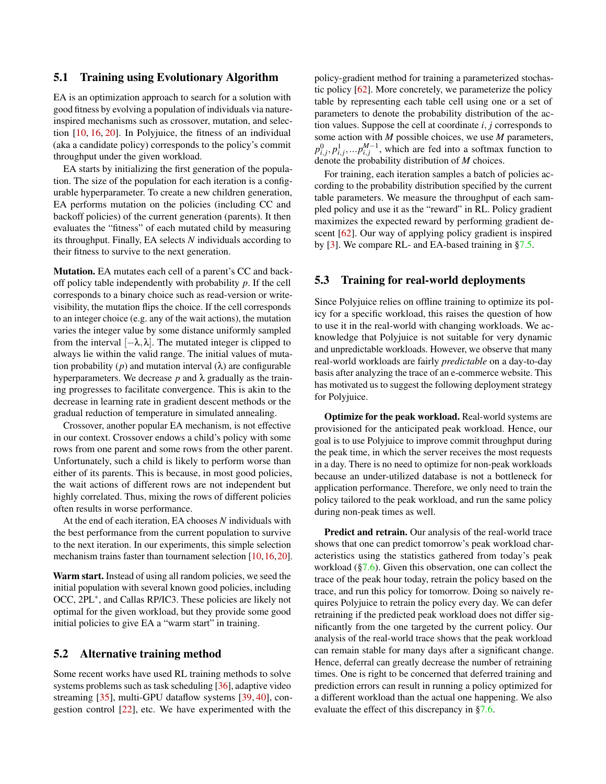### 5.1 Training using Evolutionary Algorithm

EA is an optimization approach to search for a solution with good fitness by evolving a population of individuals via natureinspired mechanisms such as crossover, mutation, and selection [\[10,](#page-14-5) [16,](#page-14-6) [20\]](#page-14-7). In Polyjuice, the fitness of an individual (aka a candidate policy) corresponds to the policy's commit throughput under the given workload.

EA starts by initializing the first generation of the population. The size of the population for each iteration is a configurable hyperparameter. To create a new children generation, EA performs mutation on the policies (including CC and backoff policies) of the current generation (parents). It then evaluates the "fitness" of each mutated child by measuring its throughput. Finally, EA selects *N* individuals according to their fitness to survive to the next generation.

Mutation. EA mutates each cell of a parent's CC and backoff policy table independently with probability *p*. If the cell corresponds to a binary choice such as read-version or writevisibility, the mutation flips the choice. If the cell corresponds to an integer choice (e.g. any of the wait actions), the mutation varies the integer value by some distance uniformly sampled from the interval  $[-\lambda, \lambda]$ . The mutated integer is clipped to always lie within the valid range. The initial values of mutation probability (*p*) and mutation interval  $(\lambda)$  are configurable hyperparameters. We decrease  $p$  and  $\lambda$  gradually as the training progresses to facilitate convergence. This is akin to the decrease in learning rate in gradient descent methods or the gradual reduction of temperature in simulated annealing.

Crossover, another popular EA mechanism, is not effective in our context. Crossover endows a child's policy with some rows from one parent and some rows from the other parent. Unfortunately, such a child is likely to perform worse than either of its parents. This is because, in most good policies, the wait actions of different rows are not independent but highly correlated. Thus, mixing the rows of different policies often results in worse performance.

At the end of each iteration, EA chooses *N* individuals with the best performance from the current population to survive to the next iteration. In our experiments, this simple selection mechanism trains faster than tournament selection [\[10,](#page-14-5) [16,](#page-14-6) [20\]](#page-14-7).

Warm start. Instead of using all random policies, we seed the initial population with several known good policies, including OCC, 2PL<sup>\*</sup>, and Callas RP/IC3. These policies are likely not optimal for the given workload, but they provide some good initial policies to give EA a "warm start" in training.

### <span id="page-7-0"></span>5.2 Alternative training method

Some recent works have used RL training methods to solve systems problems such as task scheduling [\[36\]](#page-15-7), adaptive video streaming [\[35\]](#page-15-8), multi-GPU dataflow systems [\[39,](#page-15-9) [40\]](#page-15-10), congestion control [\[22\]](#page-14-4), etc. We have experimented with the

policy-gradient method for training a parameterized stochastic policy [\[62\]](#page-16-13). More concretely, we parameterize the policy table by representing each table cell using one or a set of parameters to denote the probability distribution of the action values. Suppose the cell at coordinate *i*, *j* corresponds to some action with *M* possible choices, we use *M* parameters,  $p_{i,j}^0, p_{i,j}^1, \ldots, p_{i,j}^{M-1}$ , which are fed into a softmax function to denote the probability distribution of *M* choices.

For training, each iteration samples a batch of policies according to the probability distribution specified by the current table parameters. We measure the throughput of each sampled policy and use it as the "reward" in RL. Policy gradient maximizes the expected reward by performing gradient descent [\[62\]](#page-16-13). Our way of applying policy gradient is inspired by [\[3\]](#page-13-3). We compare RL- and EA-based training in [§7.5.](#page-11-0)

### <span id="page-7-1"></span>5.3 Training for real-world deployments

Since Polyjuice relies on offline training to optimize its policy for a specific workload, this raises the question of how to use it in the real-world with changing workloads. We acknowledge that Polyjuice is not suitable for very dynamic and unpredictable workloads. However, we observe that many real-world workloads are fairly *predictable* on a day-to-day basis after analyzing the trace of an e-commerce website. This has motivated us to suggest the following deployment strategy for Polyjuice.

Optimize for the peak workload. Real-world systems are provisioned for the anticipated peak workload. Hence, our goal is to use Polyjuice to improve commit throughput during the peak time, in which the server receives the most requests in a day. There is no need to optimize for non-peak workloads because an under-utilized database is not a bottleneck for application performance. Therefore, we only need to train the policy tailored to the peak workload, and run the same policy during non-peak times as well.

Predict and retrain. Our analysis of the real-world trace shows that one can predict tomorrow's peak workload characteristics using the statistics gathered from today's peak workload ([§7.6\)](#page-11-1). Given this observation, one can collect the trace of the peak hour today, retrain the policy based on the trace, and run this policy for tomorrow. Doing so naively requires Polyjuice to retrain the policy every day. We can defer retraining if the predicted peak workload does not differ significantly from the one targeted by the current policy. Our analysis of the real-world trace shows that the peak workload can remain stable for many days after a significant change. Hence, deferral can greatly decrease the number of retraining times. One is right to be concerned that deferred training and prediction errors can result in running a policy optimized for a different workload than the actual one happening. We also evaluate the effect of this discrepancy in [§7.6.](#page-11-1)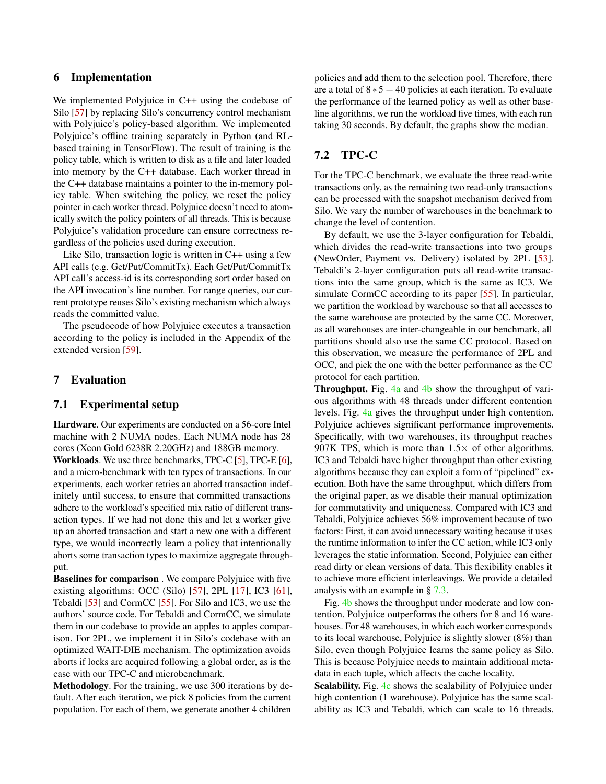### 6 Implementation

We implemented Polyjuice in C++ using the codebase of Silo [\[57\]](#page-16-5) by replacing Silo's concurrency control mechanism with Polyjuice's policy-based algorithm. We implemented Polyjuice's offline training separately in Python (and RLbased training in TensorFlow). The result of training is the policy table, which is written to disk as a file and later loaded into memory by the C++ database. Each worker thread in the C++ database maintains a pointer to the in-memory policy table. When switching the policy, we reset the policy pointer in each worker thread. Polyjuice doesn't need to atomically switch the policy pointers of all threads. This is because Polyjuice's validation procedure can ensure correctness regardless of the policies used during execution.

Like Silo, transaction logic is written in C++ using a few API calls (e.g. Get/Put/CommitTx). Each Get/Put/CommitTx API call's access-id is its corresponding sort order based on the API invocation's line number. For range queries, our current prototype reuses Silo's existing mechanism which always reads the committed value.

The pseudocode of how Polyjuice executes a transaction according to the policy is included in the Appendix of the extended version [\[59\]](#page-16-12).

### 7 Evaluation

### 7.1 Experimental setup

Hardware. Our experiments are conducted on a 56-core Intel machine with 2 NUMA nodes. Each NUMA node has 28 cores (Xeon Gold 6238R 2.20GHz) and 188GB memory.

Workloads. We use three benchmarks, TPC-C [\[5\]](#page-14-8), TPC-E [\[6\]](#page-14-9), and a micro-benchmark with ten types of transactions. In our experiments, each worker retries an aborted transaction indefinitely until success, to ensure that committed transactions adhere to the workload's specified mix ratio of different transaction types. If we had not done this and let a worker give up an aborted transaction and start a new one with a different type, we would incorrectly learn a policy that intentionally aborts some transaction types to maximize aggregate throughput.

Baselines for comparison . We compare Polyjuice with five existing algorithms: OCC (Silo) [\[57\]](#page-16-5), 2PL [\[17\]](#page-14-1), IC3 [\[61\]](#page-16-0), Tebaldi [\[53\]](#page-16-3) and CormCC [\[55\]](#page-16-2). For Silo and IC3, we use the authors' source code. For Tebaldi and CormCC, we simulate them in our codebase to provide an apples to apples comparison. For 2PL, we implement it in Silo's codebase with an optimized WAIT-DIE mechanism. The optimization avoids aborts if locks are acquired following a global order, as is the case with our TPC-C and microbenchmark.

Methodology. For the training, we use 300 iterations by default. After each iteration, we pick 8 policies from the current population. For each of them, we generate another 4 children

policies and add them to the selection pool. Therefore, there are a total of  $8 * 5 = 40$  policies at each iteration. To evaluate the performance of the learned policy as well as other baseline algorithms, we run the workload five times, with each run taking 30 seconds. By default, the graphs show the median.

## 7.2 TPC-C

For the TPC-C benchmark, we evaluate the three read-write transactions only, as the remaining two read-only transactions can be processed with the snapshot mechanism derived from Silo. We vary the number of warehouses in the benchmark to change the level of contention.

By default, we use the 3-layer configuration for Tebaldi, which divides the read-write transactions into two groups (NewOrder, Payment vs. Delivery) isolated by 2PL [\[53\]](#page-16-3). Tebaldi's 2-layer configuration puts all read-write transactions into the same group, which is the same as IC3. We simulate CormCC according to its paper [\[55\]](#page-16-2). In particular, we partition the workload by warehouse so that all accesses to the same warehouse are protected by the same CC. Moreover, as all warehouses are inter-changeable in our benchmark, all partitions should also use the same CC protocol. Based on this observation, we measure the performance of 2PL and OCC, and pick the one with the better performance as the CC protocol for each partition.

**Throughput.** Fig.  $4a$  and  $4b$  show the throughput of various algorithms with 48 threads under different contention levels. Fig. [4a](#page-9-1) gives the throughput under high contention. Polyjuice achieves significant performance improvements. Specifically, with two warehouses, its throughput reaches 907K TPS, which is more than  $1.5 \times$  of other algorithms. IC3 and Tebaldi have higher throughput than other existing algorithms because they can exploit a form of "pipelined" execution. Both have the same throughput, which differs from the original paper, as we disable their manual optimization for commutativity and uniqueness. Compared with IC3 and Tebaldi, Polyjuice achieves 56% improvement because of two factors: First, it can avoid unnecessary waiting because it uses the runtime information to infer the CC action, while IC3 only leverages the static information. Second, Polyjuice can either read dirty or clean versions of data. This flexibility enables it to achieve more efficient interleavings. We provide a detailed analysis with an example in § [7.3.](#page-9-0)

Fig. [4b](#page-9-1) shows the throughput under moderate and low contention. Polyjuice outperforms the others for 8 and 16 warehouses. For 48 warehouses, in which each worker corresponds to its local warehouse, Polyjuice is slightly slower (8%) than Silo, even though Polyjuice learns the same policy as Silo. This is because Polyjuice needs to maintain additional metadata in each tuple, which affects the cache locality.

Scalability. Fig. [4c](#page-9-1) shows the scalability of Polyjuice under high contention (1 warehouse). Polyjuice has the same scalability as IC3 and Tebaldi, which can scale to 16 threads.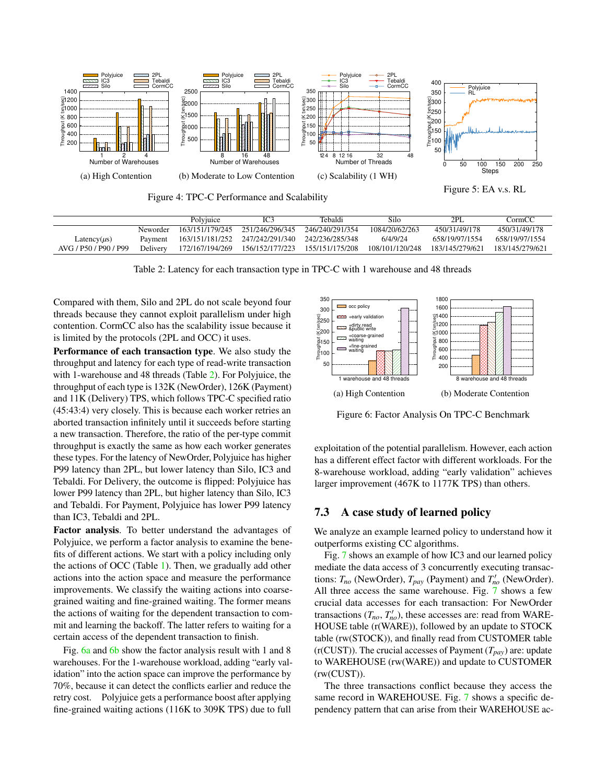<span id="page-9-1"></span>

Figure 4: TPC-C Performance and Scalability



<span id="page-9-2"></span>

|                       |          | Polyjuice       | IC3             | Tebaldi         | Silo            | 2PI.            | CormCC          |
|-----------------------|----------|-----------------|-----------------|-----------------|-----------------|-----------------|-----------------|
|                       | Neworder | 163/151/179/245 | 251/246/296/345 | 246/240/291/354 | 1084/20/62/263  | 450/31/49/178   | 450/31/49/178   |
| Latency( $\mu$ s)     | Payment  | 163/151/181/252 | 247/242/291/340 | 242/236/285/348 | 6/4/9/24        | 658/19/97/1554  | 658/19/97/1554  |
| AVG / P50 / P90 / P99 | Delivery | 172/167/194/269 | 156/152/177/223 | 155/151/175/208 | 108/101/120/248 | 183/145/279/621 | 183/145/279/621 |

Table 2: Latency for each transaction type in TPC-C with 1 warehouse and 48 threads

Compared with them, Silo and 2PL do not scale beyond four threads because they cannot exploit parallelism under high contention. CormCC also has the scalability issue because it is limited by the protocols (2PL and OCC) it uses.

Performance of each transaction type. We also study the throughput and latency for each type of read-write transaction with 1-warehouse and 48 threads (Table [2\)](#page-9-2). For Polyjuice, the throughput of each type is 132K (NewOrder), 126K (Payment) and 11K (Delivery) TPS, which follows TPC-C specified ratio (45:43:4) very closely. This is because each worker retries an aborted transaction infinitely until it succeeds before starting a new transaction. Therefore, the ratio of the per-type commit throughput is exactly the same as how each worker generates these types. For the latency of NewOrder, Polyjuice has higher P99 latency than 2PL, but lower latency than Silo, IC3 and Tebaldi. For Delivery, the outcome is flipped: Polyjuice has lower P99 latency than 2PL, but higher latency than Silo, IC3 and Tebaldi. For Payment, Polyjuice has lower P99 latency than IC3, Tebaldi and 2PL.

Factor analysis. To better understand the advantages of Polyjuice, we perform a factor analysis to examine the benefits of different actions. We start with a policy including only the actions of OCC (Table [1\)](#page-3-0). Then, we gradually add other actions into the action space and measure the performance improvements. We classify the waiting actions into coarsegrained waiting and fine-grained waiting. The former means the actions of waiting for the dependent transaction to commit and learning the backoff. The latter refers to waiting for a certain access of the dependent transaction to finish.

Fig. [6a](#page-9-3) and [6b](#page-9-3) show the factor analysis result with 1 and 8 warehouses. For the 1-warehouse workload, adding "early validation" into the action space can improve the performance by 70%, because it can detect the conflicts earlier and reduce the retry cost. Polyjuice gets a performance boost after applying fine-grained waiting actions (116K to 309K TPS) due to full

<span id="page-9-3"></span>

Figure 6: Factor Analysis On TPC-C Benchmark

exploitation of the potential parallelism. However, each action has a different effect factor with different workloads. For the 8-warehouse workload, adding "early validation" achieves larger improvement (467K to 1177K TPS) than others.

## <span id="page-9-0"></span>7.3 A case study of learned policy

We analyze an example learned policy to understand how it outperforms existing CC algorithms.

Fig. [7](#page-10-0) shows an example of how IC3 and our learned policy mediate the data access of 3 concurrently executing transactions:  $T_{no}$  (NewOrder),  $T_{pay}$  (Payment) and  $T'_{no}$  (NewOrder). All three access the same warehouse. Fig. [7](#page-10-0) shows a few crucial data accesses for each transaction: For NewOrder transactions  $(T_{no}, T'_{no})$ , these accesses are: read from WARE-HOUSE table (r(WARE)), followed by an update to STOCK table (rw(STOCK)), and finally read from CUSTOMER table  $(r(CUST))$ . The crucial accesses of Payment  $(T_{pav})$  are: update to WAREHOUSE (rw(WARE)) and update to CUSTOMER (rw(CUST)).

The three transactions conflict because they access the same record in WAREHOUSE. Fig. [7](#page-10-0) shows a specific dependency pattern that can arise from their WAREHOUSE ac-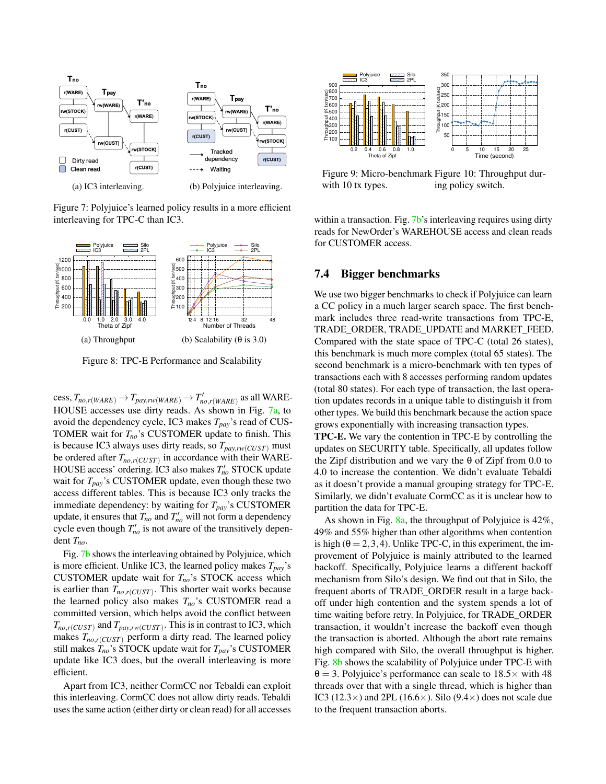<span id="page-10-0"></span>

Figure 7: Polyjuice's learned policy results in a more efficient interleaving for TPC-C than IC3.

<span id="page-10-1"></span>

Figure 8: TPC-E Performance and Scalability

 $cess, T_{no,r(WARE)} \rightarrow T_{pay,rw(WARE)} \rightarrow T'_{no,r(WARE)}$  as all WARE-HOUSE accesses use dirty reads. As shown in Fig. [7a,](#page-10-0) to avoid the dependency cycle, IC3 makes *Tpay*'s read of CUS-TOMER wait for *Tno*'s CUSTOMER update to finish. This is because IC3 always uses dirty reads, so  $T_{pav,rw(CUST)}$  must be ordered after *Tno*,*r*(*CUST*) in accordance with their WARE-HOUSE access' ordering. IC3 also makes  $T'_{no}$  STOCK update wait for *Tpay*'s CUSTOMER update, even though these two access different tables. This is because IC3 only tracks the immediate dependency: by waiting for *Tpay*'s CUSTOMER update, it ensures that  $T_{no}$  and  $T'_{no}$  will not form a dependency cycle even though  $T'_{no}$  is not aware of the transitively dependent *Tno*.

Fig. [7b](#page-10-0) shows the interleaving obtained by Polyjuice, which is more efficient. Unlike IC3, the learned policy makes  $T_{pav}$ 's CUSTOMER update wait for  $T_{no}$ 's STOCK access which is earlier than *Tno*,*r*(*CUST*) . This shorter wait works because the learned policy also makes *Tno*'s CUSTOMER read a committed version, which helps avoid the conflict between  $T_{no,r(CUST)}$  and  $T_{pay,rw(CUST)}$ . This is in contrast to IC3, which makes  $T_{no.r(CUST)}$  perform a dirty read. The learned policy still makes  $T_{no}$ 's STOCK update wait for  $T_{pay}$ 's CUSTOMER update like IC3 does, but the overall interleaving is more efficient.

Apart from IC3, neither CormCC nor Tebaldi can exploit this interleaving. CormCC does not allow dirty reads. Tebaldi uses the same action (either dirty or clean read) for all accesses

<span id="page-10-2"></span>

Figure 9: Micro-benchmark Figure 10: Throughput durwith 10 tx types. ing policy switch.

within a transaction. Fig. [7b'](#page-10-0)s interleaving requires using dirty reads for NewOrder's WAREHOUSE access and clean reads for CUSTOMER access.

### 7.4 Bigger benchmarks

We use two bigger benchmarks to check if Polyjuice can learn a CC policy in a much larger search space. The first benchmark includes three read-write transactions from TPC-E, TRADE\_ORDER, TRADE\_UPDATE and MARKET\_FEED. Compared with the state space of TPC-C (total 26 states), this benchmark is much more complex (total 65 states). The second benchmark is a micro-benchmark with ten types of transactions each with 8 accesses performing random updates (total 80 states). For each type of transaction, the last operation updates records in a unique table to distinguish it from other types. We build this benchmark because the action space grows exponentially with increasing transaction types.

TPC-E. We vary the contention in TPC-E by controlling the updates on SECURITY table. Specifically, all updates follow the Zipf distribution and we vary the  $\theta$  of Zipf from 0.0 to 4.0 to increase the contention. We didn't evaluate Tebaldi as it doesn't provide a manual grouping strategy for TPC-E. Similarly, we didn't evaluate CormCC as it is unclear how to partition the data for TPC-E.

As shown in Fig.  $8a$ , the throughput of Polyjuice is 42%, 49% and 55% higher than other algorithms when contention is high ( $\theta = 2, 3, 4$ ). Unlike TPC-C, in this experiment, the improvement of Polyjuice is mainly attributed to the learned backoff. Specifically, Polyjuice learns a different backoff mechanism from Silo's design. We find out that in Silo, the frequent aborts of TRADE\_ORDER result in a large backoff under high contention and the system spends a lot of time waiting before retry. In Polyjuice, for TRADE\_ORDER transaction, it wouldn't increase the backoff even though the transaction is aborted. Although the abort rate remains high compared with Silo, the overall throughput is higher. Fig. [8b](#page-10-1) shows the scalability of Polyjuice under TPC-E with  $\theta = 3$ . Polyjuice's performance can scale to  $18.5 \times$  with 48 threads over that with a single thread, which is higher than IC3 (12.3 $\times$ ) and 2PL (16.6 $\times$ ). Silo (9.4 $\times$ ) does not scale due to the frequent transaction aborts.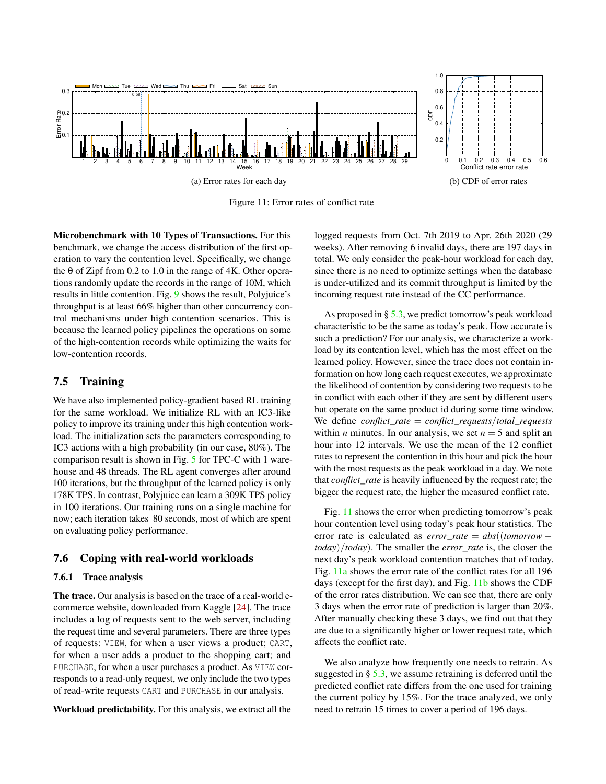<span id="page-11-2"></span>

Figure 11: Error rates of conflict rate

Microbenchmark with 10 Types of Transactions. For this benchmark, we change the access distribution of the first operation to vary the contention level. Specifically, we change the  $\theta$  of Zipf from 0.2 to 1.0 in the range of 4K. Other operations randomly update the records in the range of 10M, which results in little contention. Fig. [9](#page-10-2) shows the result, Polyjuice's throughput is at least 66% higher than other concurrency control mechanisms under high contention scenarios. This is because the learned policy pipelines the operations on some of the high-contention records while optimizing the waits for low-contention records.

### <span id="page-11-0"></span>7.5 Training

We have also implemented policy-gradient based RL training for the same workload. We initialize RL with an IC3-like policy to improve its training under this high contention workload. The initialization sets the parameters corresponding to IC3 actions with a high probability (in our case, 80%). The comparison result is shown in Fig. [5](#page-9-1) for TPC-C with 1 warehouse and 48 threads. The RL agent converges after around 100 iterations, but the throughput of the learned policy is only 178K TPS. In contrast, Polyjuice can learn a 309K TPS policy in 100 iterations. Our training runs on a single machine for now; each iteration takes 80 seconds, most of which are spent on evaluating policy performance.

### <span id="page-11-1"></span>7.6 Coping with real-world workloads

#### 7.6.1 Trace analysis

The trace. Our analysis is based on the trace of a real-world ecommerce website, downloaded from Kaggle [\[24\]](#page-14-10). The trace includes a log of requests sent to the web server, including the request time and several parameters. There are three types of requests: VIEW, for when a user views a product; CART, for when a user adds a product to the shopping cart; and PURCHASE, for when a user purchases a product. As VIEW corresponds to a read-only request, we only include the two types of read-write requests CART and PURCHASE in our analysis.

Workload predictability. For this analysis, we extract all the

logged requests from Oct. 7th 2019 to Apr. 26th 2020 (29 weeks). After removing 6 invalid days, there are 197 days in total. We only consider the peak-hour workload for each day, since there is no need to optimize settings when the database is under-utilized and its commit throughput is limited by the incoming request rate instead of the CC performance.

As proposed in  $\S$  [5.3,](#page-7-1) we predict tomorrow's peak workload characteristic to be the same as today's peak. How accurate is such a prediction? For our analysis, we characterize a workload by its contention level, which has the most effect on the learned policy. However, since the trace does not contain information on how long each request executes, we approximate the likelihood of contention by considering two requests to be in conflict with each other if they are sent by different users but operate on the same product id during some time window. We define *conflict*\_*rate* = *conflict*\_*requests*/*total*\_*requests* within *n* minutes. In our analysis, we set  $n = 5$  and split an hour into 12 intervals. We use the mean of the 12 conflict rates to represent the contention in this hour and pick the hour with the most requests as the peak workload in a day. We note that *conflict*\_*rate* is heavily influenced by the request rate; the bigger the request rate, the higher the measured conflict rate.

Fig. [11](#page-11-2) shows the error when predicting tomorrow's peak hour contention level using today's peak hour statistics. The error rate is calculated as *error*\_*rate* = *abs*((*tomorrow* − *today*)/*today*). The smaller the *error*\_*rate* is, the closer the next day's peak workload contention matches that of today. Fig. [11a](#page-11-2) shows the error rate of the conflict rates for all 196 days (except for the first day), and Fig. [11b](#page-11-2) shows the CDF of the error rates distribution. We can see that, there are only 3 days when the error rate of prediction is larger than 20%. After manually checking these 3 days, we find out that they are due to a significantly higher or lower request rate, which affects the conflict rate.

We also analyze how frequently one needs to retrain. As suggested in  $\S$  [5.3,](#page-7-1) we assume retraining is deferred until the predicted conflict rate differs from the one used for training the current policy by 15%. For the trace analyzed, we only need to retrain 15 times to cover a period of 196 days.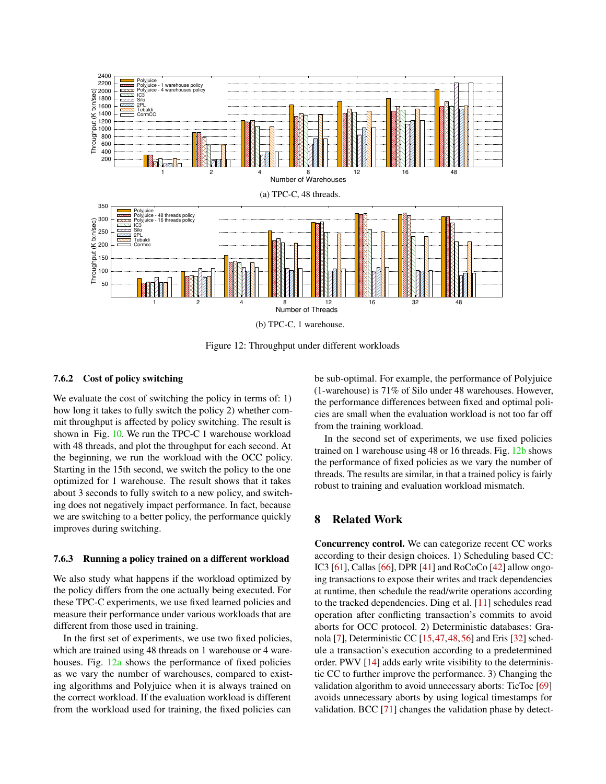<span id="page-12-0"></span>

Figure 12: Throughput under different workloads

#### 7.6.2 Cost of policy switching

We evaluate the cost of switching the policy in terms of: 1) how long it takes to fully switch the policy 2) whether commit throughput is affected by policy switching. The result is shown in Fig. [10.](#page-10-2) We run the TPC-C 1 warehouse workload with 48 threads, and plot the throughput for each second. At the beginning, we run the workload with the OCC policy. Starting in the 15th second, we switch the policy to the one optimized for 1 warehouse. The result shows that it takes about 3 seconds to fully switch to a new policy, and switching does not negatively impact performance. In fact, because we are switching to a better policy, the performance quickly improves during switching.

#### 7.6.3 Running a policy trained on a different workload

We also study what happens if the workload optimized by the policy differs from the one actually being executed. For these TPC-C experiments, we use fixed learned policies and measure their performance under various workloads that are different from those used in training.

In the first set of experiments, we use two fixed policies, which are trained using 48 threads on 1 warehouse or 4 warehouses. Fig.  $12a$  shows the performance of fixed policies as we vary the number of warehouses, compared to existing algorithms and Polyjuice when it is always trained on the correct workload. If the evaluation workload is different from the workload used for training, the fixed policies can

be sub-optimal. For example, the performance of Polyjuice (1-warehouse) is 71% of Silo under 48 warehouses. However, the performance differences between fixed and optimal policies are small when the evaluation workload is not too far off from the training workload.

In the second set of experiments, we use fixed policies trained on 1 warehouse using 48 or 16 threads. Fig. [12b](#page-12-0) shows the performance of fixed policies as we vary the number of threads. The results are similar, in that a trained policy is fairly robust to training and evaluation workload mismatch.

## 8 Related Work

Concurrency control. We can categorize recent CC works according to their design choices. 1) Scheduling based CC: IC3 [\[61\]](#page-16-0), Callas [\[66\]](#page-16-4), DPR [\[41\]](#page-15-2) and RoCoCo [\[42\]](#page-15-3) allow ongoing transactions to expose their writes and track dependencies at runtime, then schedule the read/write operations according to the tracked dependencies. Ding et al. [\[11\]](#page-14-11) schedules read operation after conflicting transaction's commits to avoid aborts for OCC protocol. 2) Deterministic databases: Granola [\[7\]](#page-14-2), Deterministic CC [\[15,](#page-14-12)[47,](#page-15-11)[48,](#page-15-12)[56\]](#page-16-11) and Eris [\[32\]](#page-15-13) schedule a transaction's execution according to a predetermined order. PWV [\[14\]](#page-14-13) adds early write visibility to the deterministic CC to further improve the performance. 3) Changing the validation algorithm to avoid unnecessary aborts: TicToc [\[69\]](#page-16-7) avoids unnecessary aborts by using logical timestamps for validation. BCC [\[71\]](#page-17-0) changes the validation phase by detect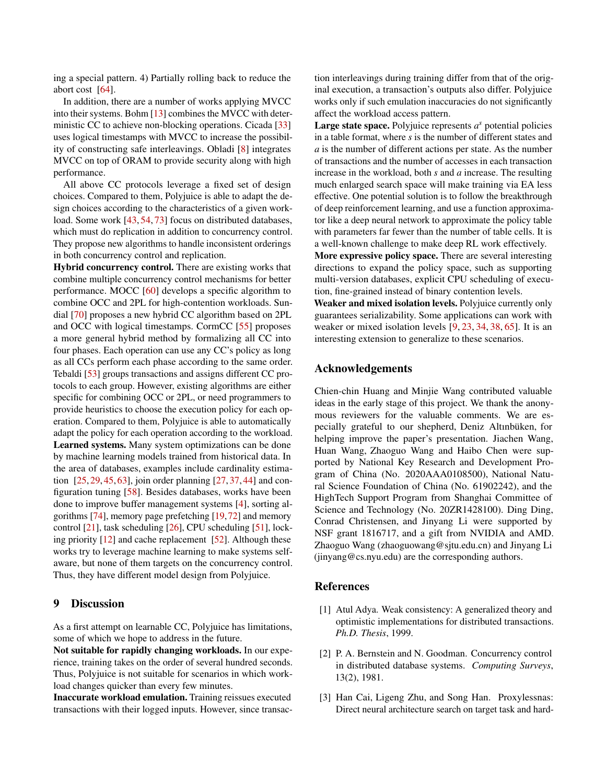ing a special pattern. 4) Partially rolling back to reduce the abort cost [\[64\]](#page-16-14).

In addition, there are a number of works applying MVCC into their systems. Bohm [\[13\]](#page-14-3) combines the MVCC with deterministic CC to achieve non-blocking operations. Cicada [\[33\]](#page-15-14) uses logical timestamps with MVCC to increase the possibility of constructing safe interleavings. Obladi [\[8\]](#page-14-14) integrates MVCC on top of ORAM to provide security along with high performance.

All above CC protocols leverage a fixed set of design choices. Compared to them, Polyjuice is able to adapt the design choices according to the characteristics of a given work-load. Some work [\[43,](#page-15-15) [54,](#page-16-15) [73\]](#page-17-1) focus on distributed databases, which must do replication in addition to concurrency control. They propose new algorithms to handle inconsistent orderings in both concurrency control and replication.

Hybrid concurrency control. There are existing works that combine multiple concurrency control mechanisms for better performance. MOCC [\[60\]](#page-16-6) develops a specific algorithm to combine OCC and 2PL for high-contention workloads. Sundial [\[70\]](#page-16-8) proposes a new hybrid CC algorithm based on 2PL and OCC with logical timestamps. CormCC [\[55\]](#page-16-2) proposes a more general hybrid method by formalizing all CC into four phases. Each operation can use any CC's policy as long as all CCs perform each phase according to the same order. Tebaldi [\[53\]](#page-16-3) groups transactions and assigns different CC protocols to each group. However, existing algorithms are either specific for combining OCC or 2PL, or need programmers to provide heuristics to choose the execution policy for each operation. Compared to them, Polyjuice is able to automatically adapt the policy for each operation according to the workload. Learned systems. Many system optimizations can be done by machine learning models trained from historical data. In the area of databases, examples include cardinality estimation [\[25,](#page-14-15) [29,](#page-15-16) [45,](#page-15-17) [63\]](#page-16-16), join order planning [\[27,](#page-14-16) [37,](#page-15-18) [44\]](#page-15-19) and configuration tuning [\[58\]](#page-16-17). Besides databases, works have been done to improve buffer management systems [\[4\]](#page-14-17), sorting algorithms [\[74\]](#page-17-2), memory page prefetching [\[19,](#page-14-18)[72\]](#page-17-3) and memory control [\[21\]](#page-14-19), task scheduling [\[26\]](#page-14-20), CPU scheduling [\[51\]](#page-16-18), locking priority [\[12\]](#page-14-21) and cache replacement [\[52\]](#page-16-19). Although these works try to leverage machine learning to make systems selfaware, but none of them targets on the concurrency control. Thus, they have different model design from Polyjuice.

### <span id="page-13-2"></span>9 Discussion

As a first attempt on learnable CC, Polyjuice has limitations, some of which we hope to address in the future.

Not suitable for rapidly changing workloads. In our experience, training takes on the order of several hundred seconds. Thus, Polyjuice is not suitable for scenarios in which workload changes quicker than every few minutes.

Inaccurate workload emulation. Training reissues executed transactions with their logged inputs. However, since transaction interleavings during training differ from that of the original execution, a transaction's outputs also differ. Polyjuice works only if such emulation inaccuracies do not significantly affect the workload access pattern.

**Large state space.** Polyjuice represents  $a^s$  potential policies in a table format, where *s* is the number of different states and *a* is the number of different actions per state. As the number of transactions and the number of accesses in each transaction increase in the workload, both *s* and *a* increase. The resulting much enlarged search space will make training via EA less effective. One potential solution is to follow the breakthrough of deep reinforcement learning, and use a function approximator like a deep neural network to approximate the policy table with parameters far fewer than the number of table cells. It is a well-known challenge to make deep RL work effectively.

More expressive policy space. There are several interesting directions to expand the policy space, such as supporting multi-version databases, explicit CPU scheduling of execution, fine-grained instead of binary contention levels.

Weaker and mixed isolation levels. Polyjuice currently only guarantees serializability. Some applications can work with weaker or mixed isolation levels [\[9,](#page-14-22) [23,](#page-14-23) [34,](#page-15-20) [38,](#page-15-21) [65\]](#page-16-20). It is an interesting extension to generalize to these scenarios.

### Acknowledgements

Chien-chin Huang and Minjie Wang contributed valuable ideas in the early stage of this project. We thank the anonymous reviewers for the valuable comments. We are especially grateful to our shepherd, Deniz Altınbüken, for helping improve the paper's presentation. Jiachen Wang, Huan Wang, Zhaoguo Wang and Haibo Chen were supported by National Key Research and Development Program of China (No. 2020AAA0108500), National Natural Science Foundation of China (No. 61902242), and the HighTech Support Program from Shanghai Committee of Science and Technology (No. 20ZR1428100). Ding Ding, Conrad Christensen, and Jinyang Li were supported by NSF grant 1816717, and a gift from NVIDIA and AMD. Zhaoguo Wang (zhaoguowang@sjtu.edu.cn) and Jinyang Li (jinyang@cs.nyu.edu) are the corresponding authors.

### References

- <span id="page-13-0"></span>[1] Atul Adya. Weak consistency: A generalized theory and optimistic implementations for distributed transactions. *Ph.D. Thesis*, 1999.
- <span id="page-13-1"></span>[2] P. A. Bernstein and N. Goodman. Concurrency control in distributed database systems. *Computing Surveys*, 13(2), 1981.
- <span id="page-13-3"></span>[3] Han Cai, Ligeng Zhu, and Song Han. Proxylessnas: Direct neural architecture search on target task and hard-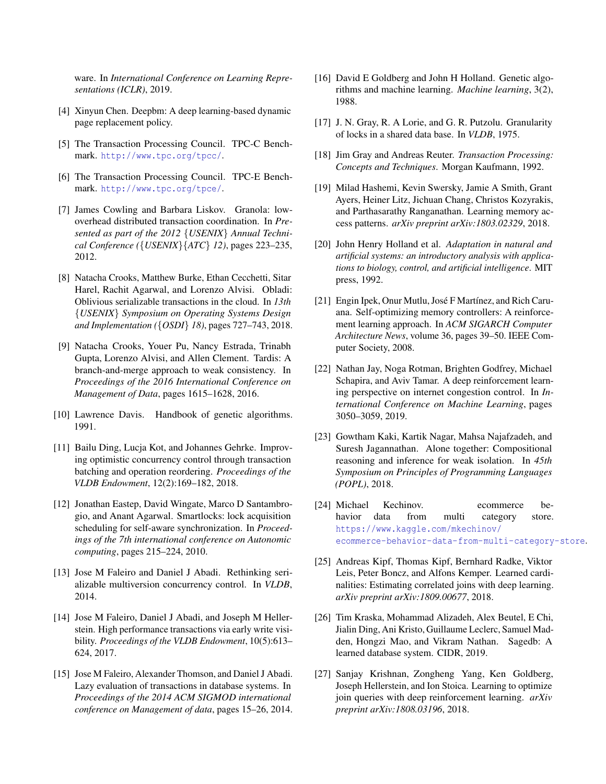ware. In *International Conference on Learning Representations (ICLR)*, 2019.

- <span id="page-14-17"></span>[4] Xinyun Chen. Deepbm: A deep learning-based dynamic page replacement policy.
- <span id="page-14-8"></span>[5] The Transaction Processing Council. TPC-C Benchmark. <http://www.tpc.org/tpcc/>.
- <span id="page-14-9"></span>[6] The Transaction Processing Council. TPC-E Benchmark. <http://www.tpc.org/tpce/>.
- <span id="page-14-2"></span>[7] James Cowling and Barbara Liskov. Granola: lowoverhead distributed transaction coordination. In *Presented as part of the 2012* {*USENIX*} *Annual Technical Conference (*{*USENIX*}{*ATC*} *12)*, pages 223–235, 2012.
- <span id="page-14-14"></span>[8] Natacha Crooks, Matthew Burke, Ethan Cecchetti, Sitar Harel, Rachit Agarwal, and Lorenzo Alvisi. Obladi: Oblivious serializable transactions in the cloud. In *13th* {*USENIX*} *Symposium on Operating Systems Design and Implementation (*{*OSDI*} *18)*, pages 727–743, 2018.
- <span id="page-14-22"></span>[9] Natacha Crooks, Youer Pu, Nancy Estrada, Trinabh Gupta, Lorenzo Alvisi, and Allen Clement. Tardis: A branch-and-merge approach to weak consistency. In *Proceedings of the 2016 International Conference on Management of Data*, pages 1615–1628, 2016.
- <span id="page-14-5"></span>[10] Lawrence Davis. Handbook of genetic algorithms. 1991.
- <span id="page-14-11"></span>[11] Bailu Ding, Lucja Kot, and Johannes Gehrke. Improving optimistic concurrency control through transaction batching and operation reordering. *Proceedings of the VLDB Endowment*, 12(2):169–182, 2018.
- <span id="page-14-21"></span>[12] Jonathan Eastep, David Wingate, Marco D Santambrogio, and Anant Agarwal. Smartlocks: lock acquisition scheduling for self-aware synchronization. In *Proceedings of the 7th international conference on Autonomic computing*, pages 215–224, 2010.
- <span id="page-14-3"></span>[13] Jose M Faleiro and Daniel J Abadi. Rethinking serializable multiversion concurrency control. In *VLDB*, 2014.
- <span id="page-14-13"></span>[14] Jose M Faleiro, Daniel J Abadi, and Joseph M Hellerstein. High performance transactions via early write visibility. *Proceedings of the VLDB Endowment*, 10(5):613– 624, 2017.
- <span id="page-14-12"></span>[15] Jose M Faleiro, Alexander Thomson, and Daniel J Abadi. Lazy evaluation of transactions in database systems. In *Proceedings of the 2014 ACM SIGMOD international conference on Management of data*, pages 15–26, 2014.
- <span id="page-14-6"></span>[16] David E Goldberg and John H Holland. Genetic algorithms and machine learning. *Machine learning*, 3(2), 1988.
- <span id="page-14-1"></span>[17] J. N. Gray, R. A Lorie, and G. R. Putzolu. Granularity of locks in a shared data base. In *VLDB*, 1975.
- <span id="page-14-0"></span>[18] Jim Gray and Andreas Reuter. *Transaction Processing: Concepts and Techniques*. Morgan Kaufmann, 1992.
- <span id="page-14-18"></span>[19] Milad Hashemi, Kevin Swersky, Jamie A Smith, Grant Ayers, Heiner Litz, Jichuan Chang, Christos Kozyrakis, and Parthasarathy Ranganathan. Learning memory access patterns. *arXiv preprint arXiv:1803.02329*, 2018.
- <span id="page-14-7"></span>[20] John Henry Holland et al. *Adaptation in natural and artificial systems: an introductory analysis with applications to biology, control, and artificial intelligence*. MIT press, 1992.
- <span id="page-14-19"></span>[21] Engin Ipek, Onur Mutlu, José F Martínez, and Rich Caruana. Self-optimizing memory controllers: A reinforcement learning approach. In *ACM SIGARCH Computer Architecture News*, volume 36, pages 39–50. IEEE Computer Society, 2008.
- <span id="page-14-4"></span>[22] Nathan Jay, Noga Rotman, Brighten Godfrey, Michael Schapira, and Aviv Tamar. A deep reinforcement learning perspective on internet congestion control. In *International Conference on Machine Learning*, pages 3050–3059, 2019.
- <span id="page-14-23"></span>[23] Gowtham Kaki, Kartik Nagar, Mahsa Najafzadeh, and Suresh Jagannathan. Alone together: Compositional reasoning and inference for weak isolation. In *45th Symposium on Principles of Programming Languages (POPL)*, 2018.
- <span id="page-14-10"></span>[24] Michael Kechinov. ecommerce behavior data from multi category store. [https://www.kaggle.com/mkechinov/](https://www.kaggle.com/mkechinov/ecommerce-behavior-data-from-multi-category-store) [ecommerce-behavior-data-from-multi-category-store](https://www.kaggle.com/mkechinov/ecommerce-behavior-data-from-multi-category-store).
- <span id="page-14-15"></span>[25] Andreas Kipf, Thomas Kipf, Bernhard Radke, Viktor Leis, Peter Boncz, and Alfons Kemper. Learned cardinalities: Estimating correlated joins with deep learning. *arXiv preprint arXiv:1809.00677*, 2018.
- <span id="page-14-20"></span>[26] Tim Kraska, Mohammad Alizadeh, Alex Beutel, E Chi, Jialin Ding, Ani Kristo, Guillaume Leclerc, Samuel Madden, Hongzi Mao, and Vikram Nathan. Sagedb: A learned database system. CIDR, 2019.
- <span id="page-14-16"></span>[27] Sanjay Krishnan, Zongheng Yang, Ken Goldberg, Joseph Hellerstein, and Ion Stoica. Learning to optimize join queries with deep reinforcement learning. *arXiv preprint arXiv:1808.03196*, 2018.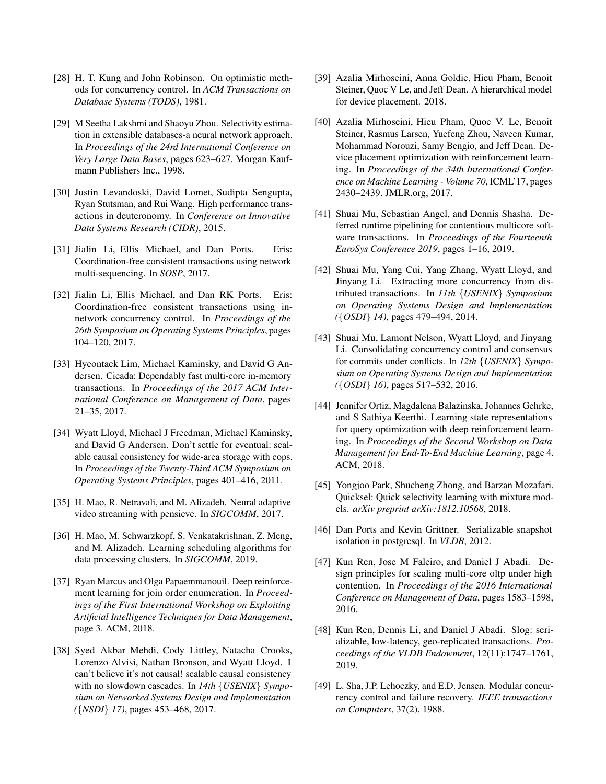- <span id="page-15-0"></span>[28] H. T. Kung and John Robinson. On optimistic methods for concurrency control. In *ACM Transactions on Database Systems (TODS)*, 1981.
- <span id="page-15-16"></span>[29] M Seetha Lakshmi and Shaoyu Zhou. Selectivity estimation in extensible databases-a neural network approach. In *Proceedings of the 24rd International Conference on Very Large Data Bases*, pages 623–627. Morgan Kaufmann Publishers Inc., 1998.
- <span id="page-15-4"></span>[30] Justin Levandoski, David Lomet, Sudipta Sengupta, Ryan Stutsman, and Rui Wang. High performance transactions in deuteronomy. In *Conference on Innovative Data Systems Research (CIDR)*, 2015.
- <span id="page-15-6"></span>[31] Jialin Li, Ellis Michael, and Dan Ports. Eris: Coordination-free consistent transactions using network multi-sequencing. In *SOSP*, 2017.
- <span id="page-15-13"></span>[32] Jialin Li, Ellis Michael, and Dan RK Ports. Eris: Coordination-free consistent transactions using innetwork concurrency control. In *Proceedings of the 26th Symposium on Operating Systems Principles*, pages 104–120, 2017.
- <span id="page-15-14"></span>[33] Hyeontaek Lim, Michael Kaminsky, and David G Andersen. Cicada: Dependably fast multi-core in-memory transactions. In *Proceedings of the 2017 ACM International Conference on Management of Data*, pages 21–35, 2017.
- <span id="page-15-20"></span>[34] Wyatt Lloyd, Michael J Freedman, Michael Kaminsky, and David G Andersen. Don't settle for eventual: scalable causal consistency for wide-area storage with cops. In *Proceedings of the Twenty-Third ACM Symposium on Operating Systems Principles*, pages 401–416, 2011.
- <span id="page-15-8"></span>[35] H. Mao, R. Netravali, and M. Alizadeh. Neural adaptive video streaming with pensieve. In *SIGCOMM*, 2017.
- <span id="page-15-7"></span>[36] H. Mao, M. Schwarzkopf, S. Venkatakrishnan, Z. Meng, and M. Alizadeh. Learning scheduling algorithms for data processing clusters. In *SIGCOMM*, 2019.
- <span id="page-15-18"></span>[37] Ryan Marcus and Olga Papaemmanouil. Deep reinforcement learning for join order enumeration. In *Proceedings of the First International Workshop on Exploiting Artificial Intelligence Techniques for Data Management*, page 3. ACM, 2018.
- <span id="page-15-21"></span>[38] Syed Akbar Mehdi, Cody Littley, Natacha Crooks, Lorenzo Alvisi, Nathan Bronson, and Wyatt Lloyd. I can't believe it's not causal! scalable causal consistency with no slowdown cascades. In *14th* {*USENIX*} *Symposium on Networked Systems Design and Implementation (*{*NSDI*} *17)*, pages 453–468, 2017.
- <span id="page-15-9"></span>[39] Azalia Mirhoseini, Anna Goldie, Hieu Pham, Benoit Steiner, Quoc V Le, and Jeff Dean. A hierarchical model for device placement. 2018.
- <span id="page-15-10"></span>[40] Azalia Mirhoseini, Hieu Pham, Quoc V. Le, Benoit Steiner, Rasmus Larsen, Yuefeng Zhou, Naveen Kumar, Mohammad Norouzi, Samy Bengio, and Jeff Dean. Device placement optimization with reinforcement learning. In *Proceedings of the 34th International Conference on Machine Learning - Volume 70*, ICML'17, pages 2430–2439. JMLR.org, 2017.
- <span id="page-15-2"></span>[41] Shuai Mu, Sebastian Angel, and Dennis Shasha. Deferred runtime pipelining for contentious multicore software transactions. In *Proceedings of the Fourteenth EuroSys Conference 2019*, pages 1–16, 2019.
- <span id="page-15-3"></span>[42] Shuai Mu, Yang Cui, Yang Zhang, Wyatt Lloyd, and Jinyang Li. Extracting more concurrency from distributed transactions. In *11th* {*USENIX*} *Symposium on Operating Systems Design and Implementation (*{*OSDI*} *14)*, pages 479–494, 2014.
- <span id="page-15-15"></span>[43] Shuai Mu, Lamont Nelson, Wyatt Lloyd, and Jinyang Li. Consolidating concurrency control and consensus for commits under conflicts. In *12th* {*USENIX*} *Symposium on Operating Systems Design and Implementation (*{*OSDI*} *16)*, pages 517–532, 2016.
- <span id="page-15-19"></span>[44] Jennifer Ortiz, Magdalena Balazinska, Johannes Gehrke, and S Sathiya Keerthi. Learning state representations for query optimization with deep reinforcement learning. In *Proceedings of the Second Workshop on Data Management for End-To-End Machine Learning*, page 4. ACM, 2018.
- <span id="page-15-17"></span>[45] Yongjoo Park, Shucheng Zhong, and Barzan Mozafari. Quicksel: Quick selectivity learning with mixture models. *arXiv preprint arXiv:1812.10568*, 2018.
- <span id="page-15-5"></span>[46] Dan Ports and Kevin Grittner. Serializable snapshot isolation in postgresql. In *VLDB*, 2012.
- <span id="page-15-11"></span>[47] Kun Ren, Jose M Faleiro, and Daniel J Abadi. Design principles for scaling multi-core oltp under high contention. In *Proceedings of the 2016 International Conference on Management of Data*, pages 1583–1598, 2016.
- <span id="page-15-12"></span>[48] Kun Ren, Dennis Li, and Daniel J Abadi. Slog: serializable, low-latency, geo-replicated transactions. *Proceedings of the VLDB Endowment*, 12(11):1747–1761, 2019.
- <span id="page-15-1"></span>[49] L. Sha, J.P. Lehoczky, and E.D. Jensen. Modular concurrency control and failure recovery. *IEEE transactions on Computers*, 37(2), 1988.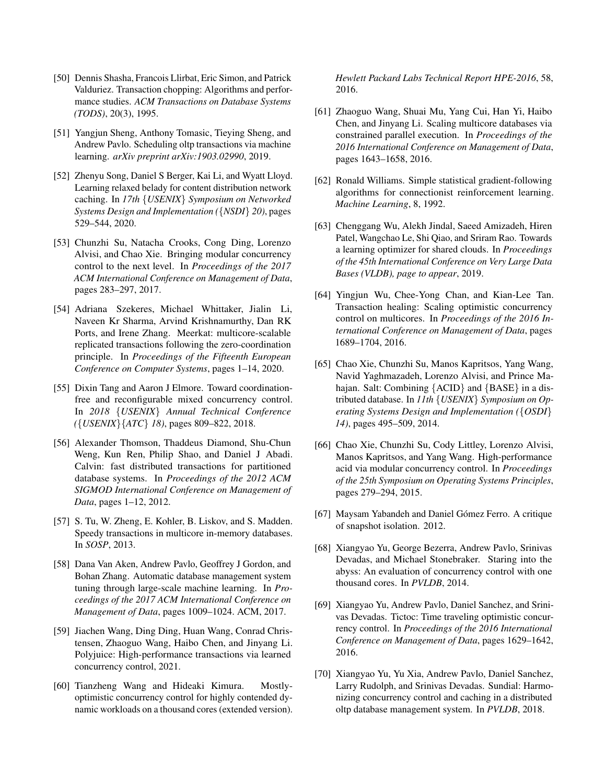- <span id="page-16-9"></span>[50] Dennis Shasha, Francois Llirbat, Eric Simon, and Patrick Valduriez. Transaction chopping: Algorithms and performance studies. *ACM Transactions on Database Systems (TODS)*, 20(3), 1995.
- <span id="page-16-18"></span>[51] Yangjun Sheng, Anthony Tomasic, Tieying Sheng, and Andrew Pavlo. Scheduling oltp transactions via machine learning. *arXiv preprint arXiv:1903.02990*, 2019.
- <span id="page-16-19"></span>[52] Zhenyu Song, Daniel S Berger, Kai Li, and Wyatt Lloyd. Learning relaxed belady for content distribution network caching. In *17th* {*USENIX*} *Symposium on Networked Systems Design and Implementation (*{*NSDI*} *20)*, pages 529–544, 2020.
- <span id="page-16-3"></span>[53] Chunzhi Su, Natacha Crooks, Cong Ding, Lorenzo Alvisi, and Chao Xie. Bringing modular concurrency control to the next level. In *Proceedings of the 2017 ACM International Conference on Management of Data*, pages 283–297, 2017.
- <span id="page-16-15"></span>[54] Adriana Szekeres, Michael Whittaker, Jialin Li, Naveen Kr Sharma, Arvind Krishnamurthy, Dan RK Ports, and Irene Zhang. Meerkat: multicore-scalable replicated transactions following the zero-coordination principle. In *Proceedings of the Fifteenth European Conference on Computer Systems*, pages 1–14, 2020.
- <span id="page-16-2"></span>[55] Dixin Tang and Aaron J Elmore. Toward coordinationfree and reconfigurable mixed concurrency control. In *2018* {*USENIX*} *Annual Technical Conference (*{*USENIX*}{*ATC*} *18)*, pages 809–822, 2018.
- <span id="page-16-11"></span>[56] Alexander Thomson, Thaddeus Diamond, Shu-Chun Weng, Kun Ren, Philip Shao, and Daniel J Abadi. Calvin: fast distributed transactions for partitioned database systems. In *Proceedings of the 2012 ACM SIGMOD International Conference on Management of Data*, pages 1–12, 2012.
- <span id="page-16-5"></span>[57] S. Tu, W. Zheng, E. Kohler, B. Liskov, and S. Madden. Speedy transactions in multicore in-memory databases. In *SOSP*, 2013.
- <span id="page-16-17"></span>[58] Dana Van Aken, Andrew Pavlo, Geoffrey J Gordon, and Bohan Zhang. Automatic database management system tuning through large-scale machine learning. In *Proceedings of the 2017 ACM International Conference on Management of Data*, pages 1009–1024. ACM, 2017.
- <span id="page-16-12"></span>[59] Jiachen Wang, Ding Ding, Huan Wang, Conrad Christensen, Zhaoguo Wang, Haibo Chen, and Jinyang Li. Polyjuice: High-performance transactions via learned concurrency control, 2021.
- <span id="page-16-6"></span>[60] Tianzheng Wang and Hideaki Kimura. Mostlyoptimistic concurrency control for highly contended dynamic workloads on a thousand cores (extended version).

*Hewlett Packard Labs Technical Report HPE-2016*, 58, 2016.

- <span id="page-16-0"></span>[61] Zhaoguo Wang, Shuai Mu, Yang Cui, Han Yi, Haibo Chen, and Jinyang Li. Scaling multicore databases via constrained parallel execution. In *Proceedings of the 2016 International Conference on Management of Data*, pages 1643–1658, 2016.
- <span id="page-16-13"></span>[62] Ronald Williams. Simple statistical gradient-following algorithms for connectionist reinforcement learning. *Machine Learning*, 8, 1992.
- <span id="page-16-16"></span>[63] Chenggang Wu, Alekh Jindal, Saeed Amizadeh, Hiren Patel, Wangchao Le, Shi Qiao, and Sriram Rao. Towards a learning optimizer for shared clouds. In *Proceedings of the 45th International Conference on Very Large Data Bases (VLDB), page to appear*, 2019.
- <span id="page-16-14"></span>[64] Yingjun Wu, Chee-Yong Chan, and Kian-Lee Tan. Transaction healing: Scaling optimistic concurrency control on multicores. In *Proceedings of the 2016 International Conference on Management of Data*, pages 1689–1704, 2016.
- <span id="page-16-20"></span>[65] Chao Xie, Chunzhi Su, Manos Kapritsos, Yang Wang, Navid Yaghmazadeh, Lorenzo Alvisi, and Prince Mahajan. Salt: Combining {ACID} and {BASE} in a distributed database. In *11th* {*USENIX*} *Symposium on Operating Systems Design and Implementation (*{*OSDI*} *14)*, pages 495–509, 2014.
- <span id="page-16-4"></span>[66] Chao Xie, Chunzhi Su, Cody Littley, Lorenzo Alvisi, Manos Kapritsos, and Yang Wang. High-performance acid via modular concurrency control. In *Proceedings of the 25th Symposium on Operating Systems Principles*, pages 279–294, 2015.
- <span id="page-16-10"></span>[67] Maysam Yabandeh and Daniel Gómez Ferro. A critique of snapshot isolation. 2012.
- <span id="page-16-1"></span>[68] Xiangyao Yu, George Bezerra, Andrew Pavlo, Srinivas Devadas, and Michael Stonebraker. Staring into the abyss: An evaluation of concurrency control with one thousand cores. In *PVLDB*, 2014.
- <span id="page-16-7"></span>[69] Xiangyao Yu, Andrew Pavlo, Daniel Sanchez, and Srinivas Devadas. Tictoc: Time traveling optimistic concurrency control. In *Proceedings of the 2016 International Conference on Management of Data*, pages 1629–1642, 2016.
- <span id="page-16-8"></span>[70] Xiangyao Yu, Yu Xia, Andrew Pavlo, Daniel Sanchez, Larry Rudolph, and Srinivas Devadas. Sundial: Harmonizing concurrency control and caching in a distributed oltp database management system. In *PVLDB*, 2018.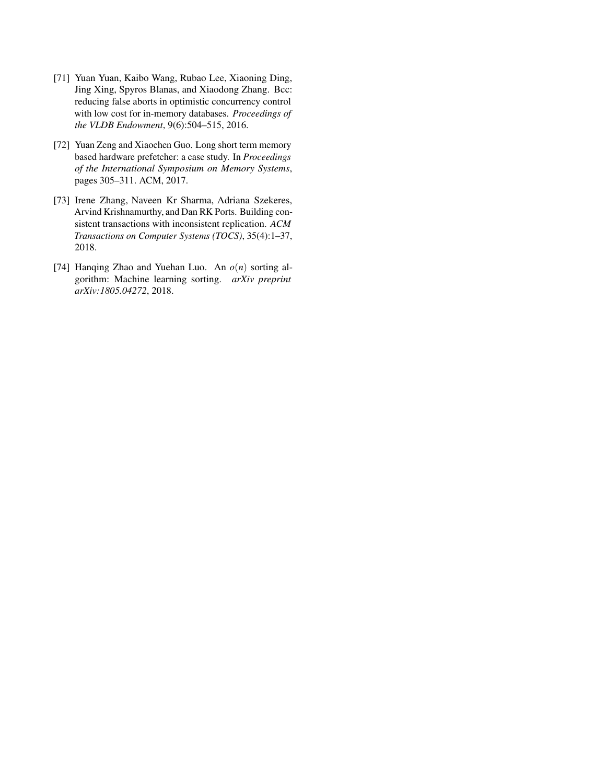- <span id="page-17-0"></span>[71] Yuan Yuan, Kaibo Wang, Rubao Lee, Xiaoning Ding, Jing Xing, Spyros Blanas, and Xiaodong Zhang. Bcc: reducing false aborts in optimistic concurrency control with low cost for in-memory databases. *Proceedings of the VLDB Endowment*, 9(6):504–515, 2016.
- <span id="page-17-3"></span>[72] Yuan Zeng and Xiaochen Guo. Long short term memory based hardware prefetcher: a case study. In *Proceedings of the International Symposium on Memory Systems*, pages 305–311. ACM, 2017.
- <span id="page-17-1"></span>[73] Irene Zhang, Naveen Kr Sharma, Adriana Szekeres, Arvind Krishnamurthy, and Dan RK Ports. Building consistent transactions with inconsistent replication. *ACM Transactions on Computer Systems (TOCS)*, 35(4):1–37, 2018.
- <span id="page-17-2"></span>[74] Hanqing Zhao and Yuehan Luo. An *o*(*n*) sorting algorithm: Machine learning sorting. *arXiv preprint arXiv:1805.04272*, 2018.